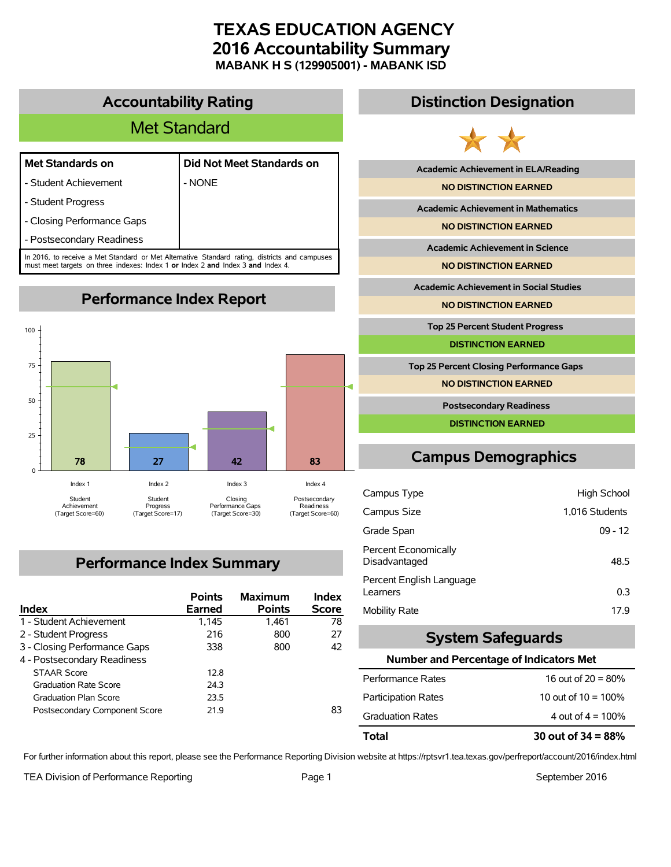# **TEXAS EDUCATION AGENCY 2016 Accountability Summary MABANK H S (129905001) - MABANK ISD**

# **Accountability Rating**

# Met Standard

|  | <b>Met Standards on</b> |  |  |
|--|-------------------------|--|--|
|--|-------------------------|--|--|

- Student Achievement  $\blacksquare$  - NONE

| Met Standards on        | Did Not Meet Standards on |
|-------------------------|---------------------------|
| Children Andria Granden |                           |

- Student Progress

- Closing Performance Gaps

- Postsecondary Readiness

In 2016, to receive a Met Standard or Met Alternative Standard rating, districts and campuses must meet targets on three indexes: Index 1 **or** Index 2 **and** Index 3 **and** Index 4.



# **Performance Index Summary**

| <b>Index</b>                  | <b>Points</b><br><b>Earned</b> | <b>Maximum</b><br><b>Points</b> | Index<br><b>Score</b> |
|-------------------------------|--------------------------------|---------------------------------|-----------------------|
| 1 - Student Achievement       | 1,145                          | 1.461                           | 78                    |
| 2 - Student Progress          | 216                            | 800                             | 27                    |
| 3 - Closing Performance Gaps  | 338                            | 800                             | 42                    |
| 4 - Postsecondary Readiness   |                                |                                 |                       |
| <b>STAAR Score</b>            | 12.8                           |                                 |                       |
| <b>Graduation Rate Score</b>  | 24.3                           |                                 |                       |
| <b>Graduation Plan Score</b>  | 23.5                           |                                 |                       |
| Postsecondary Component Score | 219                            |                                 | 83                    |

# **Distinction Designation**



**Academic Achievement in ELA/Reading**

**NO DISTINCTION EARNED**

**Academic Achievement in Mathematics**

**NO DISTINCTION EARNED**

**Academic Achievement in Science**

**NO DISTINCTION EARNED**

**Academic Achievement in Social Studies**

**NO DISTINCTION EARNED**

**Top 25 Percent Student Progress**

**DISTINCTION EARNED**

**Top 25 Percent Closing Performance Gaps**

**NO DISTINCTION EARNED**

**Postsecondary Readiness**

**DISTINCTION EARNED**

# **Campus Demographics**

| Campus Type                           | High School    |
|---------------------------------------|----------------|
| Campus Size                           | 1,016 Students |
| Grade Span                            | $09 - 12$      |
| Percent Economically<br>Disadvantaged | 48.5           |
| Percent English Language<br>Learners  | 0.3            |
| Mobility Rate                         | 17.9           |

# **System Safeguards**

### **Number and Percentage of Indicators Met**

| Total                      | 30 out of $34 = 88\%$  |
|----------------------------|------------------------|
| <b>Graduation Rates</b>    | 4 out of $4 = 100\%$   |
| <b>Participation Rates</b> | 10 out of $10 = 100\%$ |
| Performance Rates          | 16 out of $20 = 80\%$  |

For further information about this report, please see the Performance Reporting Division website at https://rptsvr1.tea.texas.gov/perfreport/account/2016/index.html

TEA Division of Performance Reporting TEA Division of Performance Reporting Team Page 1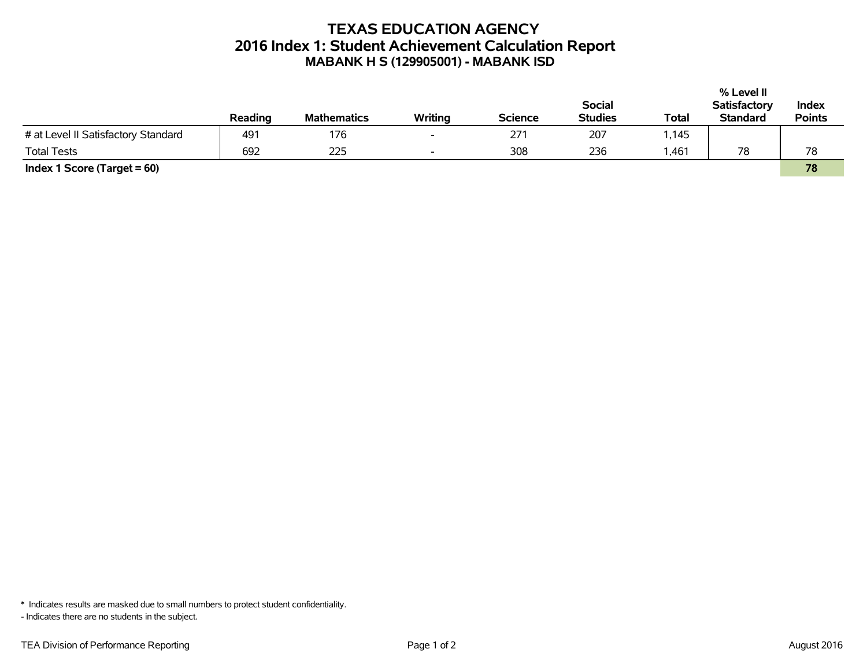# **TEXAS EDUCATION AGENCY 2016 Index 1: Student Achievement Calculation Report MABANK H S (129905001) - MABANK ISD**

|                                     |         |                    |                          |                |                |              | % Level II          |               |
|-------------------------------------|---------|--------------------|--------------------------|----------------|----------------|--------------|---------------------|---------------|
|                                     |         |                    |                          |                | <b>Social</b>  |              | <b>Satisfactory</b> | Index         |
|                                     | Reading | <b>Mathematics</b> | Writing                  | <b>Science</b> | <b>Studies</b> | <b>Total</b> | <b>Standard</b>     | <b>Points</b> |
| # at Level II Satisfactory Standard | 491     | 176                | $\overline{\phantom{a}}$ | 271            | 207            | 1,145        |                     |               |
| <b>Total Tests</b>                  | 692     | 225                | $\overline{\phantom{a}}$ | 308            | 236            | 1,461        | 78                  | 78            |
| Index 1 Score (Target $= 60$ )      |         |                    |                          |                |                |              |                     | 78            |

\* Indicates results are masked due to small numbers to protect student confidentiality.

- Indicates there are no students in the subject.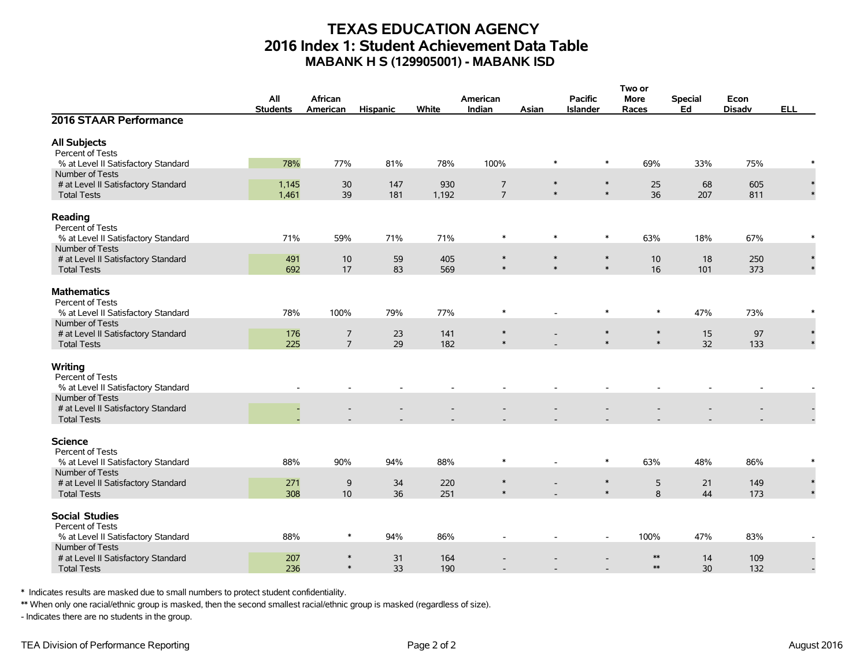## **TEXAS EDUCATION AGENCY 2016 Index 1: Student Achievement Data Table MABANK H S (129905001) - MABANK ISD**

|                                                                    | Two or          |                  |                 |       |                |                  |                          |                    |                |               |            |
|--------------------------------------------------------------------|-----------------|------------------|-----------------|-------|----------------|------------------|--------------------------|--------------------|----------------|---------------|------------|
|                                                                    | All             | African          |                 |       | American       |                  | <b>Pacific</b>           | <b>More</b>        | <b>Special</b> | Econ          |            |
|                                                                    | <b>Students</b> | American         | <b>Hispanic</b> | White | Indian         | Asian            | <b>Islander</b>          | Races              | Ed             | <b>Disadv</b> | <b>ELL</b> |
| 2016 STAAR Performance                                             |                 |                  |                 |       |                |                  |                          |                    |                |               |            |
| <b>All Subjects</b>                                                |                 |                  |                 |       |                |                  |                          |                    |                |               |            |
| Percent of Tests                                                   |                 |                  |                 |       |                |                  |                          |                    |                |               |            |
| % at Level II Satisfactory Standard                                | 78%             | 77%              | 81%             | 78%   | 100%           | $\ast$           | $\ast$                   | 69%                | 33%            | 75%           |            |
| Number of Tests                                                    |                 |                  |                 |       |                |                  |                          |                    |                |               |            |
| # at Level II Satisfactory Standard                                | 1,145           | 30               | 147             | 930   | $\overline{7}$ | $\ast$           | $\ast$                   | 25                 | 68             | 605           |            |
| <b>Total Tests</b>                                                 | 1,461           | 39               | 181             | 1,192 | $\overline{7}$ | $\ast$           | $\ast$                   | 36                 | 207            | 811           |            |
| Reading<br>Percent of Tests                                        |                 |                  |                 |       |                |                  |                          |                    |                |               |            |
| % at Level II Satisfactory Standard                                | 71%             | 59%              | 71%             | 71%   | $\ast$         | $\ast$           | $\ast$                   | 63%                | 18%            | 67%           | $\ast$     |
| Number of Tests                                                    |                 |                  |                 |       |                |                  |                          |                    |                |               |            |
| # at Level II Satisfactory Standard                                | 491             | 10               | 59              | 405   | $\ast$         | $\ast$<br>$\ast$ | $\ast$                   | 10                 | 18             | 250           |            |
| <b>Total Tests</b>                                                 | 692             | 17               | 83              | 569   | $\ast$         |                  | $\ast$                   | 16                 | 101            | 373           |            |
| <b>Mathematics</b><br>Percent of Tests                             |                 |                  |                 |       |                |                  | $\ast$                   | $\ast$             |                |               |            |
| % at Level II Satisfactory Standard                                | 78%             | 100%             | 79%             | 77%   | $\ast$         |                  |                          |                    | 47%            | 73%           |            |
| Number of Tests<br># at Level II Satisfactory Standard             | 176             | $\overline{7}$   | 23              | 141   | $\ast$         |                  | $\ast$                   | $\ast$             | 15             | 97            |            |
| <b>Total Tests</b>                                                 | 225             | $\overline{7}$   | 29              | 182   | $\ast$         |                  | $\ast$                   | $\ast$             | 32             | 133           |            |
|                                                                    |                 |                  |                 |       |                |                  |                          |                    |                |               |            |
| Writing<br>Percent of Tests<br>% at Level II Satisfactory Standard |                 |                  |                 |       |                |                  |                          |                    |                |               |            |
| Number of Tests                                                    |                 |                  |                 |       |                |                  |                          |                    |                |               |            |
| # at Level II Satisfactory Standard                                |                 |                  |                 |       |                |                  |                          |                    |                |               |            |
| <b>Total Tests</b>                                                 |                 |                  |                 |       |                |                  |                          |                    |                |               |            |
| <b>Science</b><br>Percent of Tests                                 |                 |                  |                 |       |                |                  |                          |                    |                |               |            |
| % at Level II Satisfactory Standard                                | 88%             | 90%              | 94%             | 88%   | $\ast$         |                  | $\ast$                   | 63%                | 48%            | 86%           | $\ast$     |
| Number of Tests                                                    |                 |                  |                 |       |                |                  |                          |                    |                |               |            |
| # at Level II Satisfactory Standard                                | 271             | $\mathsf 9$      | 34              | 220   | $\ast$         |                  | $\ast$                   | 5                  | 21             | 149           |            |
| <b>Total Tests</b>                                                 | 308             | 10               | 36              | 251   | $\ast$         |                  | $\ast$                   | 8                  | 44             | 173           |            |
| <b>Social Studies</b><br>Percent of Tests                          |                 |                  |                 |       |                |                  |                          |                    |                |               |            |
| % at Level II Satisfactory Standard                                | 88%             | $\ast$           | 94%             | 86%   |                |                  | $\overline{\phantom{a}}$ | 100%               | 47%            | 83%           |            |
| Number of Tests                                                    |                 |                  |                 |       |                |                  |                          |                    |                |               |            |
| # at Level II Satisfactory Standard                                | 207             | $\ast$<br>$\ast$ | 31              | 164   |                |                  |                          | $**$<br>$\ast\ast$ | 14             | 109           |            |
| <b>Total Tests</b>                                                 | 236             |                  | 33              | 190   |                |                  |                          |                    | 30             | 132           |            |

\* Indicates results are masked due to small numbers to protect student confidentiality.

\*\* When only one racial/ethnic group is masked, then the second smallest racial/ethnic group is masked (regardless of size).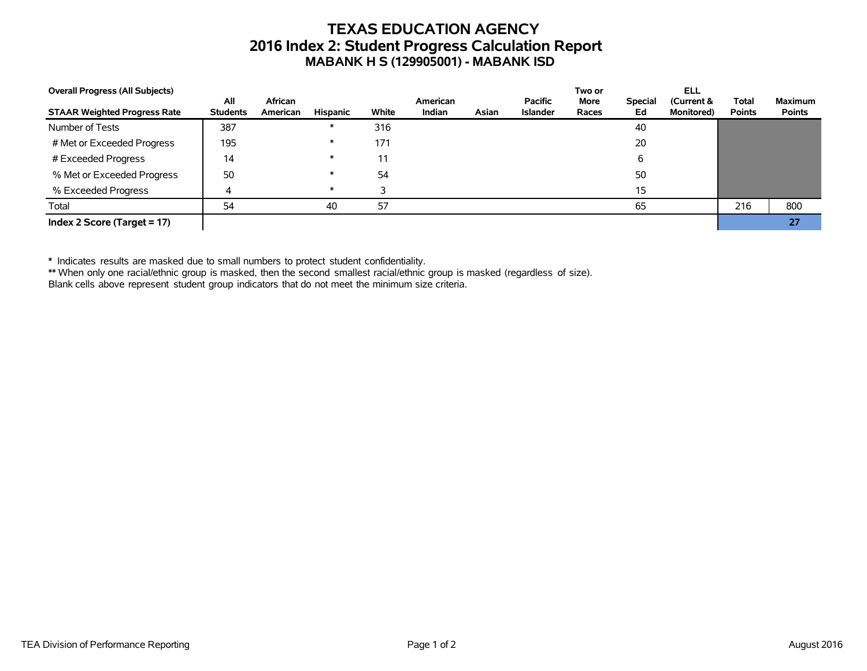# **TEXAS EDUCATION AGENCY 2016 Index 2: Student Progress Calculation Report MABANK H S (129905001) - MABANK ISD**

| <b>Overall Progress (All Subjects)</b> |                        |                     |          |       |                           |       |                            | Two or               |                      | ELL                              |                               |                                 |
|----------------------------------------|------------------------|---------------------|----------|-------|---------------------------|-------|----------------------------|----------------------|----------------------|----------------------------------|-------------------------------|---------------------------------|
| <b>STAAR Weighted Progress Rate</b>    | All<br><b>Students</b> | African<br>American | Hispanic | White | American<br><b>Indian</b> | Asian | Pacific<br><b>Islander</b> | <b>More</b><br>Races | <b>Special</b><br>Ed | (Current &<br><b>Monitored</b> ) | <b>Total</b><br><b>Points</b> | <b>Maximum</b><br><b>Points</b> |
| Number of Tests                        | 387                    |                     |          | 316   |                           |       |                            |                      | 40                   |                                  |                               |                                 |
| # Met or Exceeded Progress             | 195                    |                     |          | 171   |                           |       |                            |                      | 20                   |                                  |                               |                                 |
| # Exceeded Progress                    | 14                     |                     |          | 11    |                           |       |                            |                      |                      |                                  |                               |                                 |
| % Met or Exceeded Progress             | 50                     |                     |          | 54    |                           |       |                            |                      | 50                   |                                  |                               |                                 |
| % Exceeded Progress                    |                        |                     |          |       |                           |       |                            |                      | 15                   |                                  |                               |                                 |
| Total                                  | 54                     |                     | 40       | 57    |                           |       |                            |                      | 65                   |                                  | 216                           | 800                             |
| Index 2 Score (Target = $17$ )         |                        |                     |          |       |                           |       |                            |                      |                      |                                  |                               | 27 <sub>l</sub>                 |

\* Indicates results are masked due to small numbers to protect student confidentiality.

\*\* When only one racial/ethnic group is masked, then the second smallest racial/ethnic group is masked (regardless of size).

Blank cells above represent student group indicators that do not meet the minimum size criteria.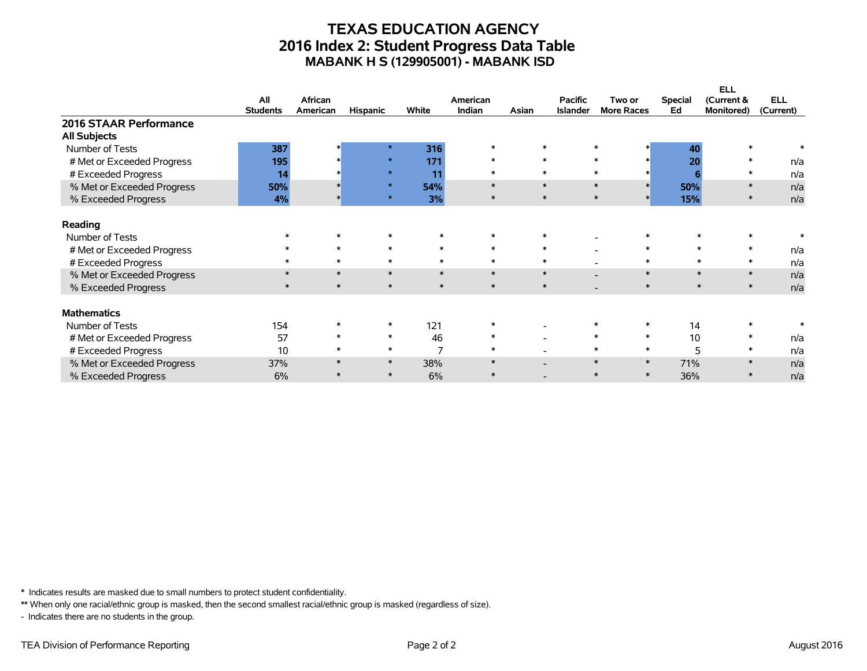## **TEXAS EDUCATION AGENCY 2016 Index 2: Student Progress Data Table MABANK H S (129905001) - MABANK ISD**

|                            |                 |          |                 |        |          |        |                 |                   |                | <b>ELL</b>       |            |
|----------------------------|-----------------|----------|-----------------|--------|----------|--------|-----------------|-------------------|----------------|------------------|------------|
|                            | All             | African  |                 |        | American |        | <b>Pacific</b>  | Two or            | <b>Special</b> | (Current &       | <b>ELL</b> |
|                            | <b>Students</b> | American | <b>Hispanic</b> | White  | Indian   | Asian  | <b>Islander</b> | <b>More Races</b> | Ed             | Monitored)       | (Current)  |
| 2016 STAAR Performance     |                 |          |                 |        |          |        |                 |                   |                |                  |            |
| <b>All Subjects</b>        |                 |          |                 |        |          |        |                 |                   |                |                  |            |
| Number of Tests            | 387             |          | $\star$         | 316    |          | $\ast$ |                 |                   | 40             |                  |            |
| # Met or Exceeded Progress | 195             |          | $\star$         | 171    | $\ast$   | $\ast$ |                 | $\star$           | 20             |                  | n/a        |
| # Exceeded Progress        | 14              |          | $\mathbf{r}$    | 11     | $\ast$   | $\ast$ |                 |                   |                |                  | n/a        |
| % Met or Exceeded Progress | 50%             |          | $\mathbf{r}$    | 54%    | $\ast$   | $\ast$ |                 | $\ast$            | 50%            |                  | n/a        |
| % Exceeded Progress        | 4%              |          | $\star$         | 3%     | $\ast$   | $\ast$ |                 | $\ast$<br>$\ast$  | 15%            |                  | n/a        |
| Reading                    |                 |          |                 |        |          |        |                 |                   |                |                  |            |
| Number of Tests            |                 |          |                 |        |          |        |                 |                   |                |                  |            |
| # Met or Exceeded Progress |                 |          | $\ast$          | $\ast$ | $\ast$   | $\ast$ |                 | $\ast$            |                | $\ast$           | n/a        |
| # Exceeded Progress        |                 |          | $\ast$          | $\ast$ | $\ast$   | $\ast$ |                 | $\ast$            |                | $\ast$<br>$\ast$ | n/a        |
| % Met or Exceeded Progress |                 | $\ast$   | $\ast$          | $\ast$ | $\ast$   | $\ast$ |                 | $\ast$            |                | $\ast$<br>$\ast$ | n/a        |
| % Exceeded Progress        |                 | $\ast$   | $\ast$          | $\ast$ | $\ast$   | $\ast$ |                 | $\ast$            |                | $\ast$           | n/a        |
| <b>Mathematics</b>         |                 |          |                 |        |          |        |                 |                   |                |                  |            |
| Number of Tests            | 154             |          |                 | 121    |          |        |                 |                   | 14             |                  |            |
| # Met or Exceeded Progress | 57              |          | $\ast$          | 46     | $\ast$   |        |                 | $\ast$<br>$\ast$  | 10             | $\ast$           | n/a        |
| # Exceeded Progress        | 10              |          | $\ast$          | 7      | $\ast$   |        |                 | $\ast$<br>$\ast$  | 5              | $\ast$           | n/a        |
|                            |                 |          |                 |        | $\star$  |        |                 | $\ast$            |                |                  |            |
| % Met or Exceeded Progress | 37%             |          | $\ast$          | 38%    |          |        |                 | $\ast$            | 71%            |                  | n/a        |
| % Exceeded Progress        | 6%              |          | $\ast$          | 6%     |          |        |                 | $\ast$<br>$\ast$  | 36%            |                  | n/a        |

\* Indicates results are masked due to small numbers to protect student confidentiality.

\*\* When only one racial/ethnic group is masked, then the second smallest racial/ethnic group is masked (regardless of size).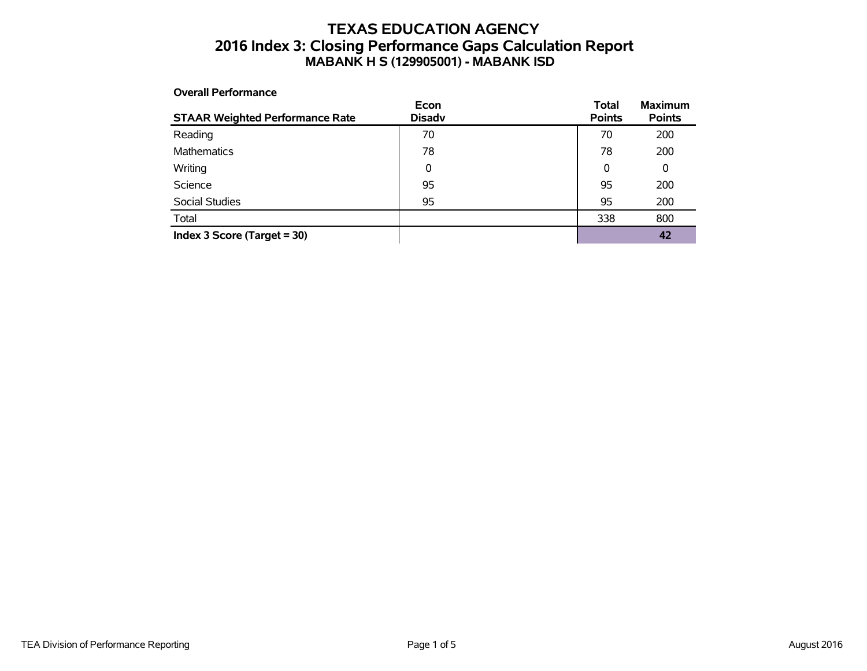### **TEXAS EDUCATION AGENCY 2016 Index 3: Closing Performance Gaps Calculation Report MABANK H S (129905001) - MABANK ISD**

### **Overall Performance**

| <b>STAAR Weighted Performance Rate</b> | Econ<br><b>Disadv</b> | <b>Total</b><br><b>Points</b> | <b>Maximum</b><br><b>Points</b> |
|----------------------------------------|-----------------------|-------------------------------|---------------------------------|
| Reading                                | 70                    | 70                            | 200                             |
| <b>Mathematics</b>                     | 78                    | 78                            | 200                             |
| Writing                                | 0                     | 0                             | 0                               |
| Science                                | 95                    | 95                            | 200                             |
| Social Studies                         | 95                    | 95                            | 200                             |
| Total                                  |                       | 338                           | 800                             |
| Index $3$ Score (Target = 30)          |                       |                               | 42                              |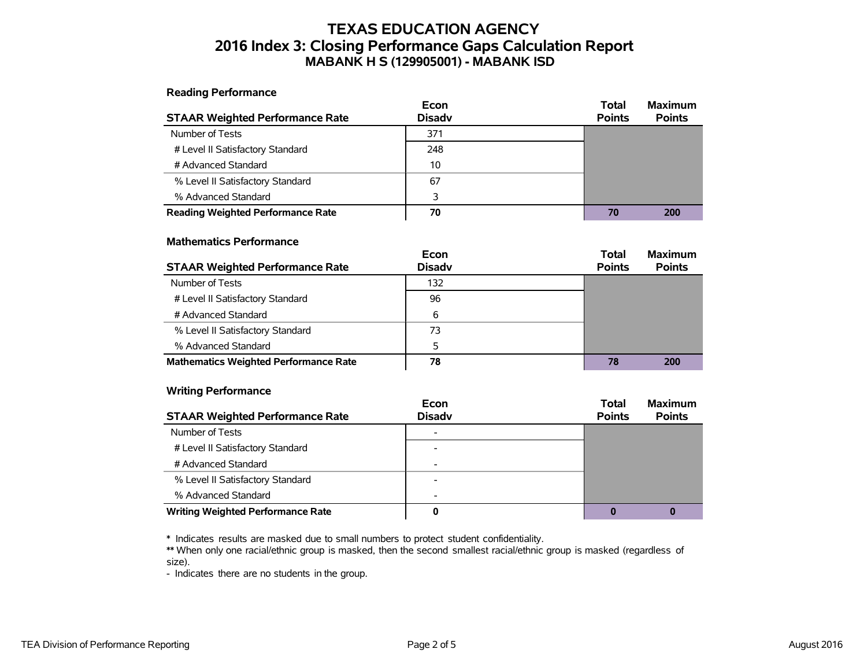## **TEXAS EDUCATION AGENCY 2016 Index 3: Closing Performance Gaps Calculation Report MABANK H S (129905001) - MABANK ISD**

**Reading Performance**

|                                          | Econ          | <b>Total</b>  | <b>Maximum</b> |
|------------------------------------------|---------------|---------------|----------------|
| <b>STAAR Weighted Performance Rate</b>   | <b>Disady</b> | <b>Points</b> | <b>Points</b>  |
| Number of Tests                          | 371           |               |                |
| # Level II Satisfactory Standard         | 248           |               |                |
| # Advanced Standard                      | 10            |               |                |
| % Level II Satisfactory Standard         | 67            |               |                |
| % Advanced Standard                      | 3             |               |                |
| <b>Reading Weighted Performance Rate</b> | 70            | 70            | 200            |

#### **Mathematics Performance**

|                                              | Econ          | <b>Total</b>  | <b>Maximum</b> |
|----------------------------------------------|---------------|---------------|----------------|
| <b>STAAR Weighted Performance Rate</b>       | <b>Disady</b> | <b>Points</b> | <b>Points</b>  |
| Number of Tests                              | 132           |               |                |
| # Level II Satisfactory Standard             | 96            |               |                |
| # Advanced Standard                          | 6             |               |                |
| % Level II Satisfactory Standard             | 73            |               |                |
| % Advanced Standard                          | 5             |               |                |
| <b>Mathematics Weighted Performance Rate</b> | 78            | 78            | 200            |

#### **Writing Performance**

|                                          | Econ                     | <b>Total</b>  | <b>Maximum</b> |
|------------------------------------------|--------------------------|---------------|----------------|
| <b>STAAR Weighted Performance Rate</b>   | <b>Disadv</b>            | <b>Points</b> | <b>Points</b>  |
| Number of Tests                          |                          |               |                |
| # Level II Satisfactory Standard         |                          |               |                |
| # Advanced Standard                      |                          |               |                |
| % Level II Satisfactory Standard         | $\overline{\phantom{0}}$ |               |                |
| % Advanced Standard                      | $\overline{\phantom{0}}$ |               |                |
| <b>Writing Weighted Performance Rate</b> |                          |               |                |

\* Indicates results are masked due to small numbers to protect student confidentiality.

\*\* When only one racial/ethnic group is masked, then the second smallest racial/ethnic group is masked (regardless of size).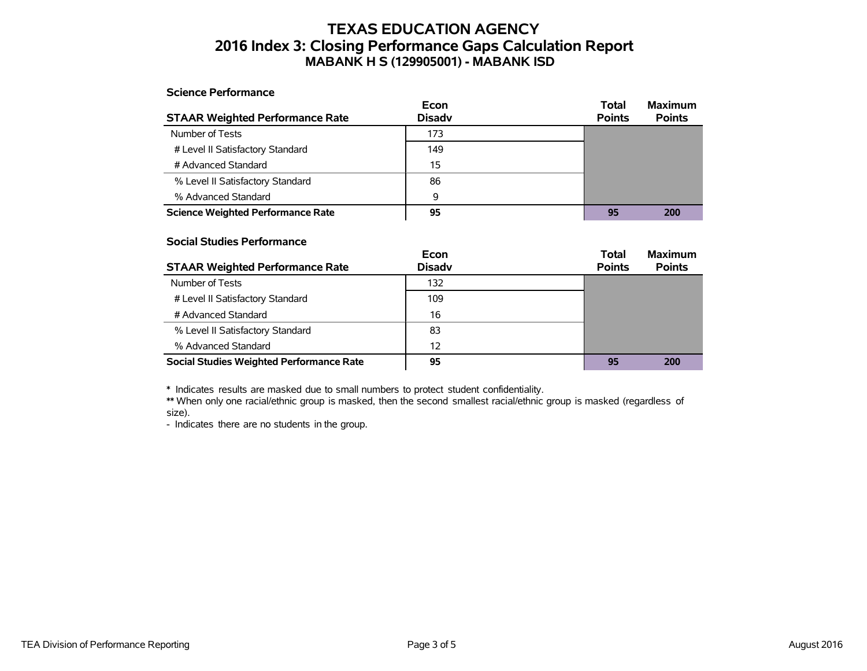### **TEXAS EDUCATION AGENCY 2016 Index 3: Closing Performance Gaps Calculation Report MABANK H S (129905001) - MABANK ISD**

#### **Science Performance**

|                                          | Econ          | Total         | <b>Maximum</b> |
|------------------------------------------|---------------|---------------|----------------|
| <b>STAAR Weighted Performance Rate</b>   | <b>Disadv</b> | <b>Points</b> | <b>Points</b>  |
| Number of Tests                          | 173           |               |                |
| # Level II Satisfactory Standard         | 149           |               |                |
| # Advanced Standard                      | 15            |               |                |
| % Level II Satisfactory Standard         | 86            |               |                |
| % Advanced Standard                      | 9             |               |                |
| <b>Science Weighted Performance Rate</b> | 95            | 95            | 200            |

#### **Social Studies Performance**

|                                          | Econ          | <b>Total</b>  | <b>Maximum</b> |
|------------------------------------------|---------------|---------------|----------------|
| <b>STAAR Weighted Performance Rate</b>   | <b>Disadv</b> | <b>Points</b> | <b>Points</b>  |
| Number of Tests                          | 132           |               |                |
| # Level II Satisfactory Standard         | 109           |               |                |
| # Advanced Standard                      | 16            |               |                |
| % Level II Satisfactory Standard         | 83            |               |                |
| % Advanced Standard                      | 12            |               |                |
| Social Studies Weighted Performance Rate | 95            | 95            | 200            |

\* Indicates results are masked due to small numbers to protect student confidentiality.

\*\* When only one racial/ethnic group is masked, then the second smallest racial/ethnic group is masked (regardless of size).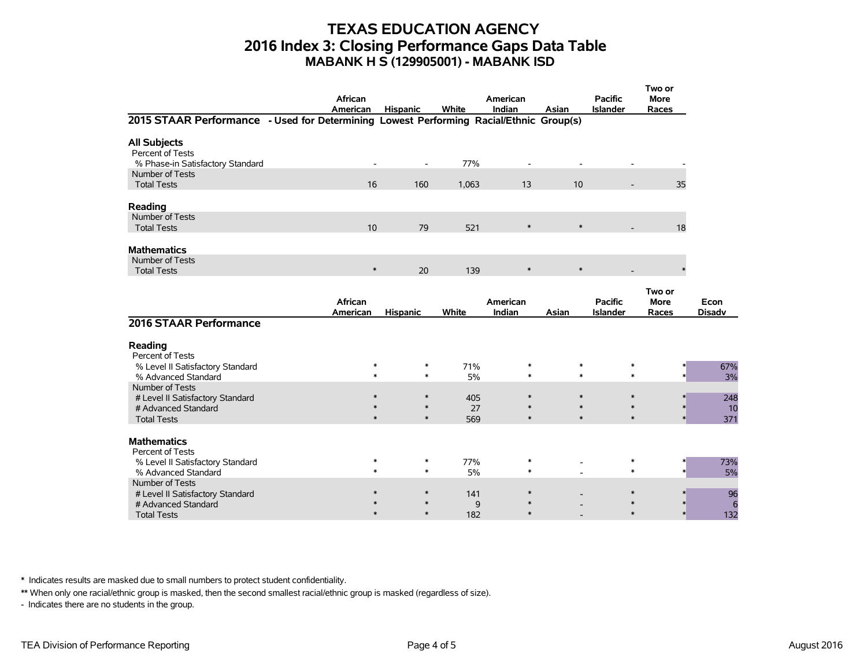### **TEXAS EDUCATION AGENCY 2016 Index 3: Closing Performance Gaps Data Table MABANK H S (129905001) - MABANK ISD**

|                                                                                        | African<br>American | <b>Hispanic</b>  | White                 | American<br>Indian | Asian            | <b>Pacific</b><br><b>Islander</b> | Two or<br>More<br>Races |                       |
|----------------------------------------------------------------------------------------|---------------------|------------------|-----------------------|--------------------|------------------|-----------------------------------|-------------------------|-----------------------|
| 2015 STAAR Performance - Used for Determining Lowest Performing Racial/Ethnic Group(s) |                     |                  |                       |                    |                  |                                   |                         |                       |
| <b>All Subjects</b><br>Percent of Tests<br>% Phase-in Satisfactory Standard            |                     | $\blacksquare$   | 77%                   |                    |                  |                                   |                         |                       |
| Number of Tests<br><b>Total Tests</b>                                                  | 16                  | 160              | 1,063                 | 13                 | 10               |                                   | 35                      |                       |
| Reading<br>Number of Tests                                                             |                     |                  |                       |                    |                  |                                   |                         |                       |
| <b>Total Tests</b>                                                                     | 10                  | 79               | 521                   | $\ast$             | $\ast$           |                                   | 18                      |                       |
| <b>Mathematics</b><br>Number of Tests<br><b>Total Tests</b>                            | $\ast$              | 20               | 139                   | $\ast$             | $\ast$           |                                   |                         |                       |
|                                                                                        |                     |                  |                       |                    |                  |                                   | Two or                  |                       |
|                                                                                        | African<br>American | <b>Hispanic</b>  | White                 | American<br>Indian | Asian            | <b>Pacific</b><br><b>Islander</b> | <b>More</b><br>Races    | Econ<br><b>Disadv</b> |
| 2016 STAAR Performance                                                                 |                     |                  |                       |                    |                  |                                   |                         |                       |
| Reading<br>Percent of Tests                                                            |                     |                  |                       |                    |                  |                                   |                         |                       |
| % Level II Satisfactory Standard<br>% Advanced Standard                                | $\ast$<br>$\ast$    | $\ast$<br>$\ast$ | 71%<br>5%             | $\ast$<br>$\ast$   | $\ast$<br>$\ast$ | $\ast$<br>$\ast$                  |                         | 67%<br>3%             |
| Number of Tests<br># Level II Satisfactory Standard<br># Advanced Standard             | $\ast$<br>$\ast$    | $\ast$<br>$\ast$ | 405<br>27             | $\ast$<br>$\ast$   | $\ast$<br>$\ast$ | $\ast$<br>$\ast$                  |                         | 248<br>10             |
| <b>Total Tests</b>                                                                     | $\ast$              | $\ast$           | 569                   | $\ast$             | $\ast$           | $\ast$                            |                         | 371                   |
| <b>Mathematics</b><br>Percent of Tests                                                 |                     |                  |                       |                    |                  |                                   |                         |                       |
| % Level II Satisfactory Standard<br>% Advanced Standard                                | $\ast$<br>$\ast$    | $\ast$<br>$\ast$ | 77%<br>5%             | $\ast$<br>$\ast$   |                  | $\ast$<br>$\ast$                  |                         | 73%<br>5%             |
| Number of Tests<br># Level II Satisfactory Standard<br># Advanced Standard             | $\ast$              |                  | 141<br>$\overline{9}$ | ∗                  |                  |                                   |                         | 96<br>6               |
| <b>Total Tests</b>                                                                     | $\ast$              | $\ast$           | 182                   | $\ast$             |                  | $\ast$                            |                         | 132                   |

\* Indicates results are masked due to small numbers to protect student confidentiality.

\*\* When only one racial/ethnic group is masked, then the second smallest racial/ethnic group is masked (regardless of size).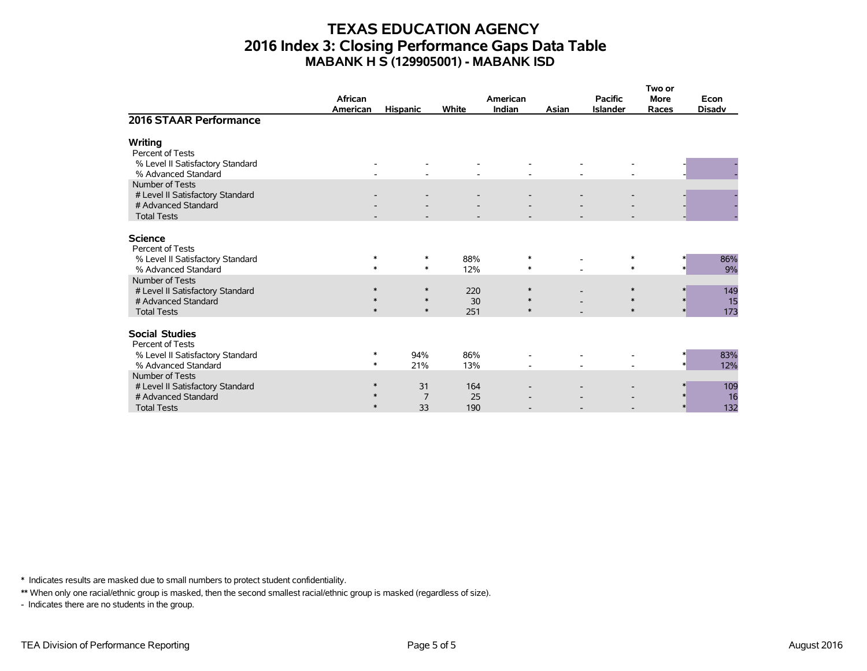### **TEXAS EDUCATION AGENCY 2016 Index 3: Closing Performance Gaps Data Table MABANK H S (129905001) - MABANK ISD**

|                                                         |          |                 |            |          |       |                 | Two or      |               |
|---------------------------------------------------------|----------|-----------------|------------|----------|-------|-----------------|-------------|---------------|
|                                                         | African  |                 |            | American |       | <b>Pacific</b>  | <b>More</b> | Econ          |
|                                                         | American | <b>Hispanic</b> | White      | Indian   | Asian | <b>Islander</b> | Races       | <b>Disadv</b> |
| 2016 STAAR Performance                                  |          |                 |            |          |       |                 |             |               |
| Writing                                                 |          |                 |            |          |       |                 |             |               |
| Percent of Tests                                        |          |                 |            |          |       |                 |             |               |
| % Level II Satisfactory Standard                        |          |                 |            |          |       |                 |             |               |
| % Advanced Standard                                     |          |                 |            |          |       |                 |             |               |
| Number of Tests                                         |          |                 |            |          |       |                 |             |               |
| # Level II Satisfactory Standard                        |          |                 |            |          |       |                 |             |               |
| # Advanced Standard                                     |          |                 |            |          |       |                 |             |               |
| <b>Total Tests</b>                                      |          |                 |            |          |       |                 |             |               |
| <b>Science</b>                                          |          |                 |            |          |       |                 |             |               |
| Percent of Tests                                        |          |                 |            |          |       |                 |             |               |
| % Level II Satisfactory Standard                        | $\ast$   | $\ast$          | 88%        | $\ast$   |       |                 | $\ast$      | 86%           |
| % Advanced Standard                                     | $\ast$   | $\ast$          | 12%        | $\ast$   |       |                 | $\ast$      | 9%            |
| Number of Tests                                         |          |                 |            |          |       |                 |             |               |
| # Level II Satisfactory Standard                        | $\ast$   | $\ast$          | 220        | $\ast$   |       | $\ast$          |             | 149           |
| # Advanced Standard                                     | $\ast$   | $\ast$          | 30         | $\ast$   |       | $\ast$          |             | 15<br>$*$     |
| <b>Total Tests</b>                                      | $\ast$   | $\ast$          | 251        | $\ast$   |       |                 | $\ast$      | 173<br>$\ast$ |
|                                                         |          |                 |            |          |       |                 |             |               |
| <b>Social Studies</b>                                   |          |                 |            |          |       |                 |             |               |
| Percent of Tests                                        | ∗        |                 |            |          |       |                 |             |               |
| % Level II Satisfactory Standard<br>% Advanced Standard | $\ast$   | 94%<br>21%      | 86%<br>13% |          |       |                 |             | 83%<br>12%    |
| Number of Tests                                         |          |                 |            |          |       |                 |             |               |
| # Level II Satisfactory Standard                        | $\ast$   | 31              | 164        |          |       |                 |             | 109           |
| # Advanced Standard                                     | $\ast$   | $\overline{7}$  | 25         |          |       |                 |             | 16<br>$\ast$  |
| <b>Total Tests</b>                                      | $*$      | 33              | 190        |          |       |                 |             | 132           |

\* Indicates results are masked due to small numbers to protect student confidentiality.

\*\* When only one racial/ethnic group is masked, then the second smallest racial/ethnic group is masked (regardless of size).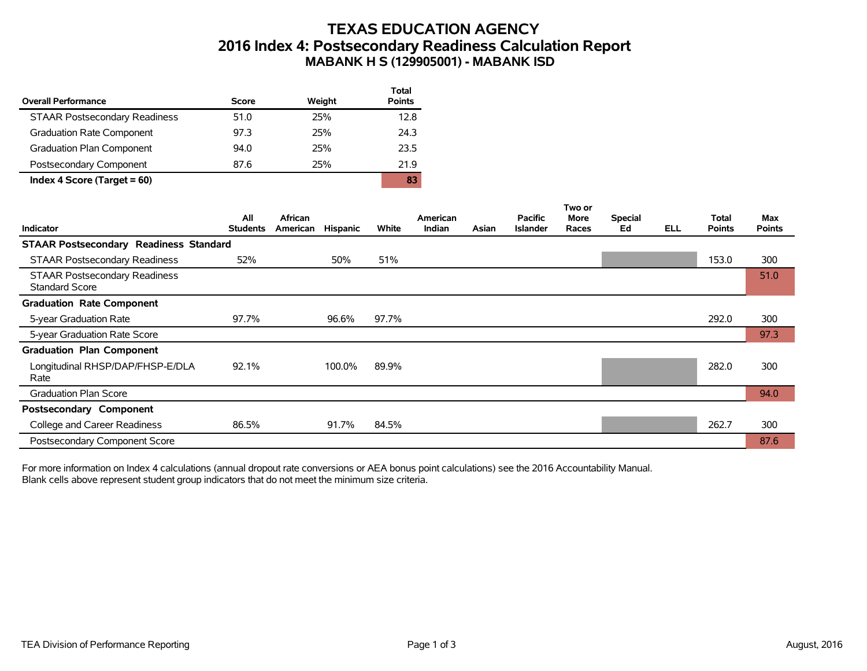# **TEXAS EDUCATION AGENCY 2016 Index 4: Postsecondary Readiness Calculation Report MABANK H S (129905001) - MABANK ISD**

| <b>Overall Performance</b>           | Score | Weight | <b>Total</b><br><b>Points</b> |
|--------------------------------------|-------|--------|-------------------------------|
| <b>STAAR Postsecondary Readiness</b> | 51.0  | 25%    | 12.8                          |
| Graduation Rate Component            | 97.3  | 25%    | 24.3                          |
| <b>Graduation Plan Component</b>     | 94.0  | 25%    | 23.5                          |
| Postsecondary Component              | 87.6  | 25%    | 21.9                          |
| Index 4 Score (Target $= 60$ )       |       |        | 83                            |

|                                                               |                        |                     |                 |       |                           |       |                                   | Two or               |                      |            |                               |                      |
|---------------------------------------------------------------|------------------------|---------------------|-----------------|-------|---------------------------|-------|-----------------------------------|----------------------|----------------------|------------|-------------------------------|----------------------|
| <b>Indicator</b>                                              | All<br><b>Students</b> | African<br>American | <b>Hispanic</b> | White | American<br><b>Indian</b> | Asian | <b>Pacific</b><br><b>Islander</b> | <b>More</b><br>Races | <b>Special</b><br>Ed | <b>ELL</b> | <b>Total</b><br><b>Points</b> | Max<br><b>Points</b> |
| <b>STAAR Postsecondary Readiness Standard</b>                 |                        |                     |                 |       |                           |       |                                   |                      |                      |            |                               |                      |
| <b>STAAR Postsecondary Readiness</b>                          | 52%                    |                     | 50%             | 51%   |                           |       |                                   |                      |                      |            | 153.0                         | 300                  |
| <b>STAAR Postsecondary Readiness</b><br><b>Standard Score</b> |                        |                     |                 |       |                           |       |                                   |                      |                      |            |                               | 51.0                 |
| <b>Graduation Rate Component</b>                              |                        |                     |                 |       |                           |       |                                   |                      |                      |            |                               |                      |
| 5-year Graduation Rate                                        | 97.7%                  |                     | 96.6%           | 97.7% |                           |       |                                   |                      |                      |            | 292.0                         | 300                  |
| 5-year Graduation Rate Score                                  |                        |                     |                 |       |                           |       |                                   |                      |                      |            |                               | 97.3                 |
| <b>Graduation Plan Component</b>                              |                        |                     |                 |       |                           |       |                                   |                      |                      |            |                               |                      |
| Longitudinal RHSP/DAP/FHSP-E/DLA<br>Rate                      | 92.1%                  |                     | 100.0%          | 89.9% |                           |       |                                   |                      |                      |            | 282.0                         | 300                  |
| <b>Graduation Plan Score</b>                                  |                        |                     |                 |       |                           |       |                                   |                      |                      |            |                               | 94.0                 |
| Postsecondary Component                                       |                        |                     |                 |       |                           |       |                                   |                      |                      |            |                               |                      |
| College and Career Readiness                                  | 86.5%                  |                     | 91.7%           | 84.5% |                           |       |                                   |                      |                      |            | 262.7                         | 300                  |
| Postsecondary Component Score                                 |                        |                     |                 |       |                           |       |                                   |                      |                      |            |                               | 87.6                 |

For more information on Index 4 calculations (annual dropout rate conversions or AEA bonus point calculations) see the 2016 Accountability Manual. Blank cells above represent student group indicators that do not meet the minimum size criteria.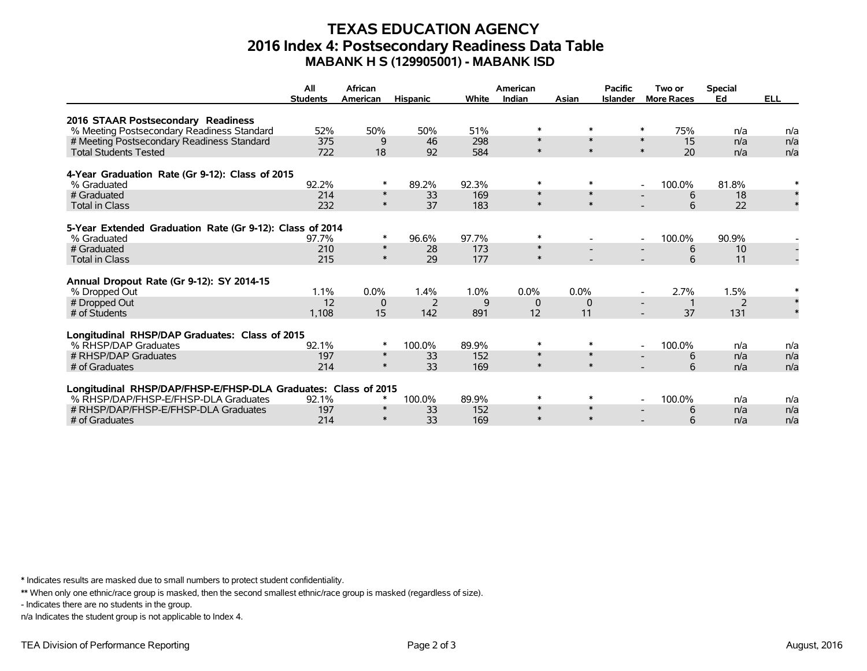### **TEXAS EDUCATION AGENCY 2016 Index 4: Postsecondary Readiness Data Table MABANK H S (129905001) - MABANK ISD**

|                                                                         | All             | African  |                 |       | American |              | <b>Pacific</b>  | Two or                             | <b>Special</b> |            |
|-------------------------------------------------------------------------|-----------------|----------|-----------------|-------|----------|--------------|-----------------|------------------------------------|----------------|------------|
|                                                                         | <b>Students</b> | American | <b>Hispanic</b> | White | Indian   | Asian        | <b>Islander</b> | <b>More Races</b>                  | Ed             | <b>ELL</b> |
| 2016 STAAR Postsecondary Readiness                                      |                 |          |                 |       |          |              |                 |                                    |                |            |
| % Meeting Postsecondary Readiness Standard                              | 52%             | 50%      | 50%             | 51%   | $\ast$   | $\ast$       |                 | $\ast$<br>75%                      | n/a            | n/a        |
| # Meeting Postsecondary Readiness Standard                              | 375             | 9        | 46              | 298   | $\ast$   | $\ast$       |                 | $\ast$<br>15                       | n/a            | n/a        |
| <b>Total Students Tested</b>                                            | 722             | 18       | 92              | 584   | $\ast$   | $\pmb{\ast}$ |                 | $\ast$<br>20                       | n/a            | n/a        |
| 4-Year Graduation Rate (Gr 9-12): Class of 2015                         |                 |          |                 |       |          |              |                 |                                    |                |            |
| % Graduated                                                             | 92.2%           | *        | 89.2%           | 92.3% | $\ast$   | $\ast$       |                 | 100.0%<br>$\overline{\phantom{a}}$ | 81.8%          |            |
| # Graduated                                                             | 214             | $\ast$   | 33              | 169   | $\ast$   | $\ast$       |                 | 6                                  | 18             | $\ast$     |
| <b>Total in Class</b>                                                   | 232             | $\ast$   | 37              | 183   | $\ast$   | $\ast$       |                 | 6                                  | 22             |            |
|                                                                         |                 |          |                 |       |          |              |                 |                                    |                |            |
| 5-Year Extended Graduation Rate (Gr 9-12): Class of 2014<br>% Graduated | 97.7%           | *        | 96.6%           | 97.7% | $\ast$   |              |                 | 100.0%<br>$\overline{\phantom{a}}$ | 90.9%          |            |
| # Graduated                                                             | 210             | $\ast$   | 28              | 173   | $\ast$   |              |                 | 6                                  | 10             |            |
| <b>Total in Class</b>                                                   | 215             | $\ast$   | 29              | 177   | $\ast$   |              |                 | 6                                  | 11             |            |
|                                                                         |                 |          |                 |       |          |              |                 |                                    |                |            |
| Annual Dropout Rate (Gr 9-12): SY 2014-15                               |                 |          |                 |       |          |              |                 |                                    |                |            |
| % Dropped Out                                                           | 1.1%            | 0.0%     | 1.4%            | 1.0%  | $0.0\%$  | $0.0\%$      |                 | 2.7%                               | 1.5%           |            |
| # Dropped Out                                                           | 12              | 0        | 2               | 9     | $\Omega$ | $\mathbf 0$  |                 |                                    | 2              |            |
| # of Students                                                           | 1,108           | 15       | 142             | 891   | 12       | 11           |                 | 37                                 | 131            |            |
| Longitudinal RHSP/DAP Graduates: Class of 2015                          |                 |          |                 |       |          |              |                 |                                    |                |            |
| % RHSP/DAP Graduates                                                    | 92.1%           | $\ast$   | 100.0%          | 89.9% | $\ast$   | $\ast$       |                 | 100.0%<br>$\overline{\phantom{a}}$ | n/a            | n/a        |
| # RHSP/DAP Graduates                                                    | 197             | $\ast$   | 33              | 152   | $\ast$   | $\ast$       |                 | 6                                  | n/a            | n/a        |
| # of Graduates                                                          | 214             | $\ast$   | 33              | 169   | $\ast$   | $\ast$       |                 | 6                                  | n/a            | n/a        |
|                                                                         |                 |          |                 |       |          |              |                 |                                    |                |            |
| Longitudinal RHSP/DAP/FHSP-E/FHSP-DLA Graduates: Class of 2015          |                 | ∗        |                 |       | $\ast$   | $\ast$       |                 |                                    |                |            |
| % RHSP/DAP/FHSP-E/FHSP-DLA Graduates                                    | 92.1%           | $\ast$   | 100.0%          | 89.9% | $\ast$   | $\ast$       |                 | 100.0%<br>$\overline{\phantom{a}}$ | n/a            | n/a        |
| # RHSP/DAP/FHSP-E/FHSP-DLA Graduates                                    | 197             | $\ast$   | 33              | 152   | $\ast$   | $\ast$       |                 | 6                                  | n/a            | n/a        |
| # of Graduates                                                          | 214             |          | 33              | 169   |          |              |                 | 6                                  | n/a            | n/a        |

\* Indicates results are masked due to small numbers to protect student confidentiality.

\*\* When only one ethnic/race group is masked, then the second smallest ethnic/race group is masked (regardless of size).

- Indicates there are no students in the group.

n/a Indicates the student group is not applicable to Index 4.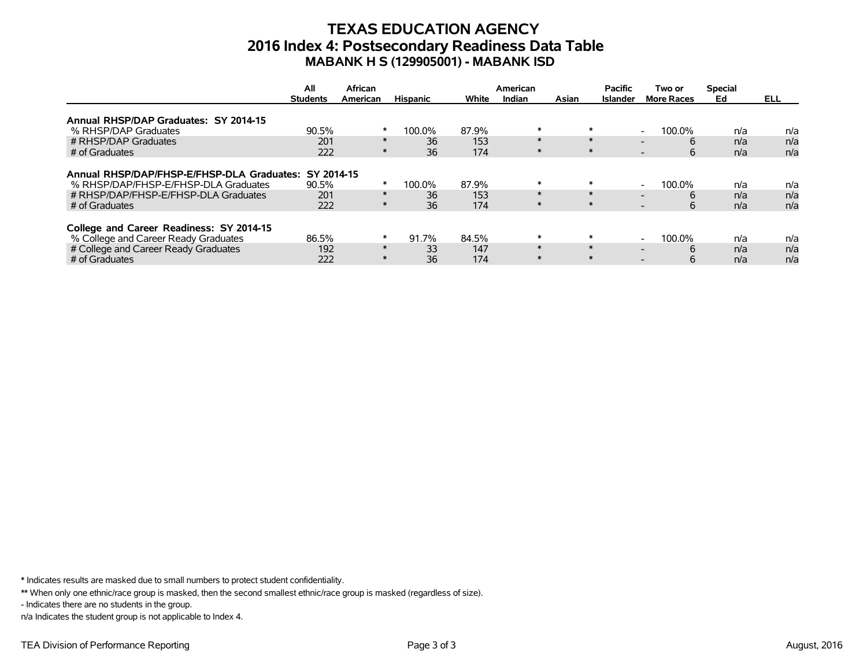## **TEXAS EDUCATION AGENCY 2016 Index 4: Postsecondary Readiness Data Table MABANK H S (129905001) - MABANK ISD**

|                                                       | All             | African  |                 |       | American |       | <b>Pacific</b>  | Two or                             | <b>Special</b> |            |
|-------------------------------------------------------|-----------------|----------|-----------------|-------|----------|-------|-----------------|------------------------------------|----------------|------------|
|                                                       | <b>Students</b> | American | <b>Hispanic</b> | White | Indian   | Asian | <b>Islander</b> | <b>More Races</b>                  | Ed             | <b>ELL</b> |
| Annual RHSP/DAP Graduates: SY 2014-15                 |                 |          |                 |       |          |       |                 |                                    |                |            |
| % RHSP/DAP Graduates                                  | 90.5%           | $\ast$   | 100.0%          | 87.9% | $\ast$   |       | $\ast$          | 100.0%                             | n/a            | n/a        |
| # RHSP/DAP Graduates                                  | 201             | $\ast$   | 36              | 153   | $\ast$   |       | $\ast$          | 6                                  | n/a            | n/a        |
| # of Graduates                                        | 222             | $\ast$   | 36              | 174   | $\ast$   |       | $\ast$          | 6<br>$\overline{\phantom{0}}$      | n/a            | n/a        |
|                                                       |                 |          |                 |       |          |       |                 |                                    |                |            |
| Annual RHSP/DAP/FHSP-E/FHSP-DLA Graduates: SY 2014-15 |                 |          |                 |       |          |       |                 |                                    |                |            |
| % RHSP/DAP/FHSP-E/FHSP-DLA Graduates                  | 90.5%           | $\ast$   | 100.0%          | 87.9% | $\ast$   |       | $\ast$          | 100.0%<br>$\overline{\phantom{0}}$ | n/a            | n/a        |
| # RHSP/DAP/FHSP-E/FHSP-DLA Graduates                  | 201             | $\ast$   | 36              | 153   | $\ast$   |       | $\ast$          | 6                                  | n/a            | n/a        |
| # of Graduates                                        | 222             | $\ast$   | 36              | 174   | $\ast$   |       | $\ast$          | 6<br>$\overline{\phantom{0}}$      | n/a            | n/a        |
|                                                       |                 |          |                 |       |          |       |                 |                                    |                |            |
| College and Career Readiness: SY 2014-15              |                 |          |                 |       |          |       |                 |                                    |                |            |
| % College and Career Ready Graduates                  | 86.5%           | $\ast$   | 91.7%           | 84.5% | $\ast$   |       | $\ast$          | 100.0%<br>$\overline{\phantom{0}}$ | n/a            | n/a        |
| # College and Career Ready Graduates                  | 192             | $\ast$   | 33              | 147   | $\ast$   |       | $\ast$          | 6                                  | n/a            | n/a        |
| # of Graduates                                        | 222             | $\ast$   | 36              | 174   | $\ast$   |       | $\ast$          | 6                                  | n/a            | n/a        |

\* Indicates results are masked due to small numbers to protect student confidentiality.

\*\* When only one ethnic/race group is masked, then the second smallest ethnic/race group is masked (regardless of size).

- Indicates there are no students in the group.

n/a Indicates the student group is not applicable to Index 4.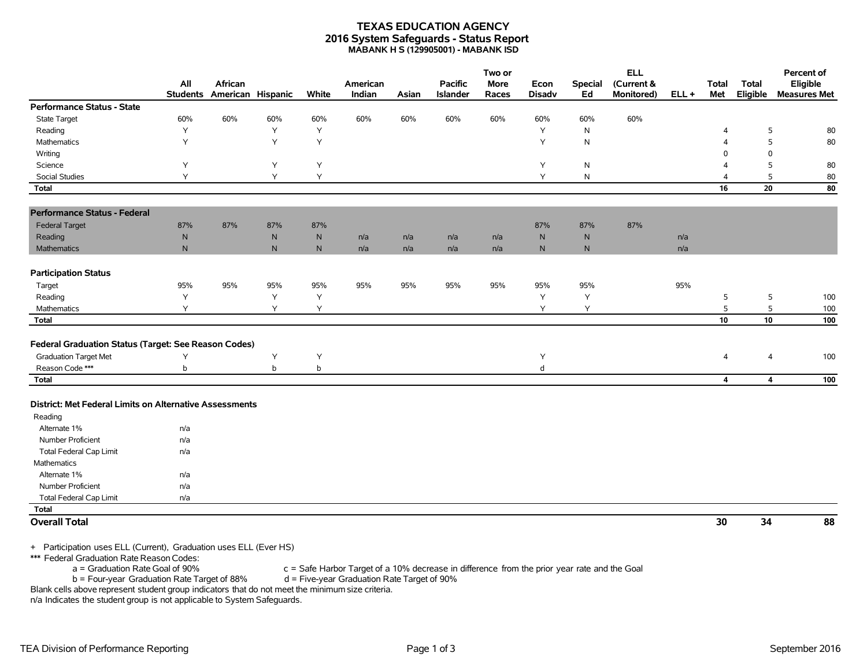#### **TEXAS EDUCATION AGENCY 2016 System Safeguards - Status Report MABANK H S (129905001) - MABANK ISD**

|                                                         |                        |                              |              |              |                    |       |                                   | Two or               |                       |                      | <b>ELL</b>               |         |                         |                         | Percent of                      |
|---------------------------------------------------------|------------------------|------------------------------|--------------|--------------|--------------------|-------|-----------------------------------|----------------------|-----------------------|----------------------|--------------------------|---------|-------------------------|-------------------------|---------------------------------|
|                                                         | All<br><b>Students</b> | African<br>American Hispanic |              | White        | American<br>Indian | Asian | <b>Pacific</b><br><b>Islander</b> | <b>More</b><br>Races | Econ<br><b>Disadv</b> | <b>Special</b><br>Ed | (Current &<br>Monitored) | $ELL +$ | <b>Total</b><br>Met     | Total<br>Eligible       | Eligible<br><b>Measures Met</b> |
| Performance Status - State                              |                        |                              |              |              |                    |       |                                   |                      |                       |                      |                          |         |                         |                         |                                 |
| State Target                                            | 60%                    | 60%                          | 60%          | 60%          | 60%                | 60%   | 60%                               | 60%                  | 60%                   | 60%                  | 60%                      |         |                         |                         |                                 |
| Reading                                                 | Y                      |                              | Y            | Y            |                    |       |                                   |                      | Y                     | $\mathsf{N}$         |                          |         | $\overline{4}$          | 5                       | 80                              |
| Mathematics                                             | Y                      |                              | Y            | Y            |                    |       |                                   |                      | Y                     | N                    |                          |         | Δ                       | 5                       | 80                              |
| Writing                                                 |                        |                              |              |              |                    |       |                                   |                      |                       |                      |                          |         | $\Omega$                | $\mathbf 0$             |                                 |
| Science                                                 | Υ                      |                              | Y            | Υ            |                    |       |                                   |                      | Y                     | $\mathsf{N}$         |                          |         | Δ                       | 5                       | 80                              |
| <b>Social Studies</b>                                   | Y                      |                              | Y            | Y            |                    |       |                                   |                      | Y                     | $\mathsf{N}$         |                          |         | $\overline{4}$          | 5                       | 80                              |
| <b>Total</b>                                            |                        |                              |              |              |                    |       |                                   |                      |                       |                      |                          |         | 16                      | 20                      | 80                              |
| <b>Performance Status - Federal</b>                     |                        |                              |              |              |                    |       |                                   |                      |                       |                      |                          |         |                         |                         |                                 |
| <b>Federal Target</b>                                   | 87%                    | 87%                          | 87%          | 87%          |                    |       |                                   |                      | 87%                   | 87%                  | 87%                      |         |                         |                         |                                 |
| Reading                                                 | ${\sf N}$              |                              | $\mathsf{N}$ | $\mathsf{N}$ | n/a                | n/a   | n/a                               | n/a                  | $\mathsf{N}$          | ${\sf N}$            |                          | n/a     |                         |                         |                                 |
| Mathematics                                             | ${\sf N}$              |                              | $\mathsf{N}$ | $\mathsf{N}$ | n/a                | n/a   | n/a                               | n/a                  | N                     | N                    |                          | n/a     |                         |                         |                                 |
| <b>Participation Status</b>                             |                        |                              |              |              |                    |       |                                   |                      |                       |                      |                          |         |                         |                         |                                 |
| Target                                                  | 95%                    | 95%                          | 95%          | 95%          | 95%                | 95%   | 95%                               | 95%                  | 95%                   | 95%                  |                          | 95%     |                         |                         |                                 |
| Reading                                                 | Y                      |                              | Y            | Y            |                    |       |                                   |                      | Y                     | Y                    |                          |         | 5                       | 5                       | 100                             |
| Mathematics                                             | Υ                      |                              | Y            | Y            |                    |       |                                   |                      | Y                     | Υ                    |                          |         | $\mathsf S$             | 5                       | 100                             |
| Total                                                   |                        |                              |              |              |                    |       |                                   |                      |                       |                      |                          |         | 10                      | 10                      | 100                             |
| Federal Graduation Status (Target: See Reason Codes)    |                        |                              |              |              |                    |       |                                   |                      |                       |                      |                          |         |                         |                         |                                 |
| <b>Graduation Target Met</b>                            | Υ                      |                              | Y            | Y            |                    |       |                                   |                      | Υ                     |                      |                          |         | $\overline{4}$          | 4                       | 100                             |
| Reason Code ***                                         | b                      |                              | b            | b            |                    |       |                                   |                      | d                     |                      |                          |         |                         |                         |                                 |
| <b>Total</b>                                            |                        |                              |              |              |                    |       |                                   |                      |                       |                      |                          |         | $\overline{\mathbf{4}}$ | $\overline{\mathbf{4}}$ | 100                             |
| District: Met Federal Limits on Alternative Assessments |                        |                              |              |              |                    |       |                                   |                      |                       |                      |                          |         |                         |                         |                                 |
| Reading                                                 |                        |                              |              |              |                    |       |                                   |                      |                       |                      |                          |         |                         |                         |                                 |
| Alternate 1%                                            | n/a                    |                              |              |              |                    |       |                                   |                      |                       |                      |                          |         |                         |                         |                                 |
| Number Proficient                                       | n/a                    |                              |              |              |                    |       |                                   |                      |                       |                      |                          |         |                         |                         |                                 |
| <b>Total Federal Cap Limit</b>                          | n/a                    |                              |              |              |                    |       |                                   |                      |                       |                      |                          |         |                         |                         |                                 |
| Mathematics                                             |                        |                              |              |              |                    |       |                                   |                      |                       |                      |                          |         |                         |                         |                                 |
| Alternate 1%                                            | n/a                    |                              |              |              |                    |       |                                   |                      |                       |                      |                          |         |                         |                         |                                 |
| Number Proficient                                       | n/a                    |                              |              |              |                    |       |                                   |                      |                       |                      |                          |         |                         |                         |                                 |
| <b>Total Federal Cap Limit</b>                          | n/a                    |                              |              |              |                    |       |                                   |                      |                       |                      |                          |         |                         |                         |                                 |
| <b>Total</b>                                            |                        |                              |              |              |                    |       |                                   |                      |                       |                      |                          |         |                         |                         |                                 |
| <b>Overall Total</b>                                    |                        |                              |              |              |                    |       |                                   |                      |                       |                      |                          |         | 30                      | 34                      | 88                              |

+ Participation uses ELL (Current), Graduation uses ELL (Ever HS)

\*\*\* Federal Graduation Rate Reason Codes:

 $a =$  Graduation Rate Goal of 90% c = Safe Harbor Target of a 10% decrease in difference from the prior year rate and the Goal b = Four-year Graduation Rate Target of 90%  $b =$  Four-year Graduation Rate Target of 88%

Blank cells above represent student group indicators that do not meet the minimum size criteria.

n/a Indicates the student group is not applicable to System Safeguards.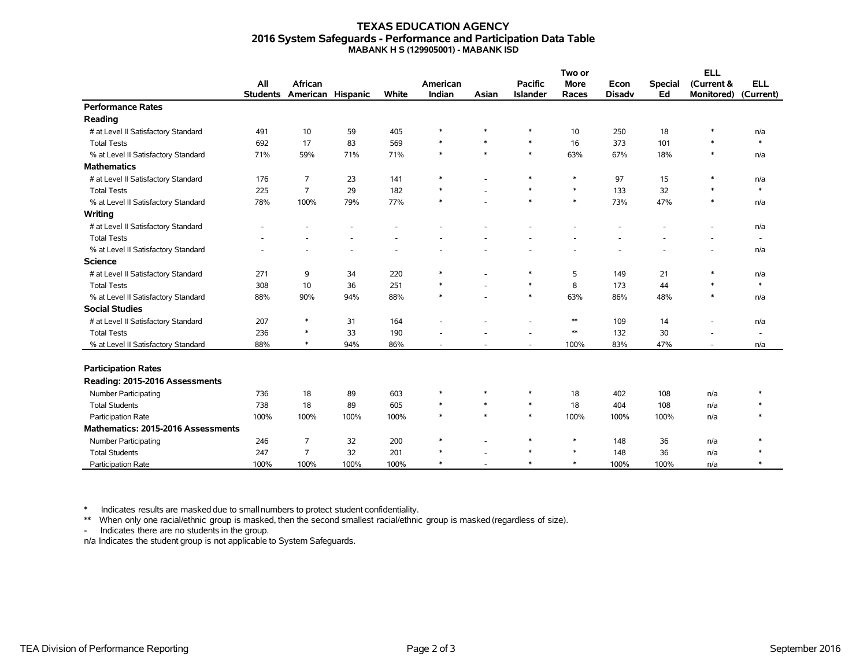#### **TEXAS EDUCATION AGENCY 2016 System Safeguards - Performance and Participation Data Table MABANK H S (129905001) - MABANK ISD**

|                                     |                 | African           |      |       |          |        | Two or          |             | <b>ELL</b>    |                |                          |                          |
|-------------------------------------|-----------------|-------------------|------|-------|----------|--------|-----------------|-------------|---------------|----------------|--------------------------|--------------------------|
|                                     | All             |                   |      |       | American |        | <b>Pacific</b>  | <b>More</b> | Econ          | <b>Special</b> | (Current &               | <b>ELL</b>               |
|                                     | <b>Students</b> | American Hispanic |      | White | Indian   | Asian  | <b>Islander</b> | Races       | <b>Disadv</b> | Ed             | <b>Monitored)</b>        | (Current)                |
| <b>Performance Rates</b>            |                 |                   |      |       |          |        |                 |             |               |                |                          |                          |
| Reading                             |                 |                   |      |       |          |        |                 |             |               |                |                          |                          |
| # at Level II Satisfactory Standard | 491             | 10                | 59   | 405   | $\ast$   | *      | $\ast$          | 10          | 250           | 18             | $\ast$                   | n/a                      |
| <b>Total Tests</b>                  | 692             | 17                | 83   | 569   | $\ast$   | $\ast$ | $\ast$          | 16          | 373           | 101            | $\ast$                   | $\ast$                   |
| % at Level II Satisfactory Standard | 71%             | 59%               | 71%  | 71%   | $\ast$   | $\ast$ | $\ast$          | 63%         | 67%           | 18%            | $\ast$                   | n/a                      |
| <b>Mathematics</b>                  |                 |                   |      |       |          |        |                 |             |               |                |                          |                          |
| # at Level II Satisfactory Standard | 176             | $\overline{7}$    | 23   | 141   | $\ast$   |        | $\ast$          | $\ast$      | 97            | 15             | $\ast$                   | n/a                      |
| <b>Total Tests</b>                  | 225             | $\overline{7}$    | 29   | 182   | $\ast$   |        | $\ast$          | $\ast$      | 133           | 32             | $\ast$                   | $\ast$                   |
| % at Level II Satisfactory Standard | 78%             | 100%              | 79%  | 77%   | $\ast$   |        | $\ast$          | $\ast$      | 73%           | 47%            | $\ast$                   | n/a                      |
| Writing                             |                 |                   |      |       |          |        |                 |             |               |                |                          |                          |
| # at Level II Satisfactory Standard |                 |                   |      |       |          |        |                 |             |               |                |                          | n/a                      |
| <b>Total Tests</b>                  |                 |                   |      |       |          |        |                 |             |               |                |                          | $\overline{\phantom{a}}$ |
| % at Level II Satisfactory Standard |                 |                   |      |       |          |        |                 |             |               |                |                          | n/a                      |
| <b>Science</b>                      |                 |                   |      |       |          |        |                 |             |               |                |                          |                          |
| # at Level II Satisfactory Standard | 271             | 9                 | 34   | 220   | ∗        |        | $\ast$          | 5           | 149           | 21             | $\ast$                   | n/a                      |
| <b>Total Tests</b>                  | 308             | 10                | 36   | 251   |          |        | $\ast$          | 8           | 173           | 44             | $\ast$                   | $\ast$                   |
| % at Level II Satisfactory Standard | 88%             | 90%               | 94%  | 88%   | $\ast$   |        | $\ast$          | 63%         | 86%           | 48%            | $\ast$                   | n/a                      |
| <b>Social Studies</b>               |                 |                   |      |       |          |        |                 |             |               |                |                          |                          |
| # at Level II Satisfactory Standard | 207             | $\ast$            | 31   | 164   |          |        |                 | $**$        | 109           | 14             | ٠                        | n/a                      |
| <b>Total Tests</b>                  | 236             | $\ast$            | 33   | 190   |          |        |                 | $\ast\ast$  | 132           | 30             |                          | $\blacksquare$           |
| % at Level II Satisfactory Standard | 88%             | $\ast$            | 94%  | 86%   |          |        | ٠               | 100%        | 83%           | 47%            | $\overline{\phantom{a}}$ | n/a                      |
|                                     |                 |                   |      |       |          |        |                 |             |               |                |                          |                          |
| <b>Participation Rates</b>          |                 |                   |      |       |          |        |                 |             |               |                |                          |                          |
| Reading: 2015-2016 Assessments      |                 |                   |      |       |          |        |                 |             |               |                |                          |                          |
| Number Participating                | 736             | 18                | 89   | 603   | $\ast$   | $\ast$ | $\ast$          | 18          | 402           | 108            | n/a                      | $\ast$                   |
| <b>Total Students</b>               | 738             | 18                | 89   | 605   | $\ast$   | $\ast$ | $\ast$          | 18          | 404           | 108            | n/a                      |                          |
| Participation Rate                  | 100%            | 100%              | 100% | 100%  | $\ast$   | $\ast$ | $\ast$          | 100%        | 100%          | 100%           | n/a                      |                          |
| Mathematics: 2015-2016 Assessments  |                 |                   |      |       |          |        |                 |             |               |                |                          |                          |
| Number Participating                | 246             | 7                 | 32   | 200   | $\ast$   |        | $\ast$          | $\ast$      | 148           | 36             | n/a                      |                          |
| <b>Total Students</b>               | 247             | $\overline{7}$    | 32   | 201   | $\ast$   |        | $\ast$          | $\ast$      | 148           | 36             | n/a                      |                          |
| Participation Rate                  | 100%            | 100%              | 100% | 100%  | $\ast$   |        | $\ast$          | $\ast$      | 100%          | 100%           | n/a                      |                          |

\* Indicates results are masked due to smallnumbers to protect student confidentiality.

\*\* When only one racial/ethnic group is masked, then the second smallest racial/ethnic group is masked (regardless of size).

- Indicates there are no students in the group.

n/a Indicates the student group is not applicable to System Safeguards.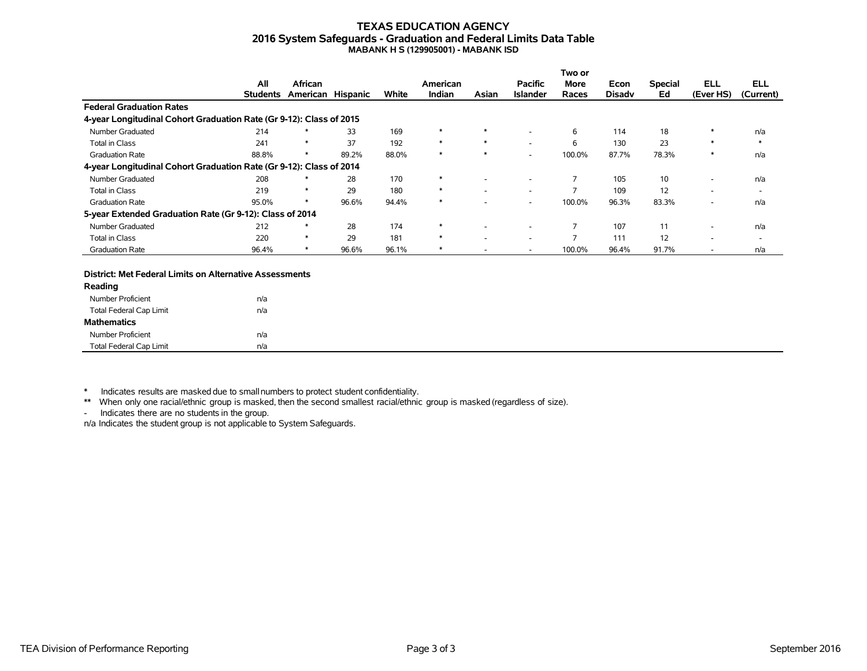#### **TEXAS EDUCATION AGENCY 2016 System Safeguards - Graduation and Federal Limits Data Table MABANK H S (129905001) - MABANK ISD**

|                                                                     |                 |                   |       |       |          |        |                 | Two or                   |               |                |            |                          |
|---------------------------------------------------------------------|-----------------|-------------------|-------|-------|----------|--------|-----------------|--------------------------|---------------|----------------|------------|--------------------------|
|                                                                     | All             | African           |       |       | American |        | <b>Pacific</b>  | More                     | Econ          | <b>Special</b> | <b>ELL</b> | <b>ELL</b>               |
|                                                                     | <b>Students</b> | American Hispanic |       | White | Indian   | Asian  | <b>Islander</b> | Races                    | <b>Disady</b> | Ed             | (Ever HS)  | (Current)                |
| <b>Federal Graduation Rates</b>                                     |                 |                   |       |       |          |        |                 |                          |               |                |            |                          |
| 4-year Longitudinal Cohort Graduation Rate (Gr 9-12): Class of 2015 |                 |                   |       |       |          |        |                 |                          |               |                |            |                          |
| Number Graduated                                                    | 214             | $\ast$            | 33    | 169   | $\ast$   | $\ast$ |                 | 6                        | 114           | 18             |            | n/a                      |
| <b>Total in Class</b>                                               | 241             | $\ast$            | 37    | 192   | $\ast$   | $\ast$ |                 | 6                        | 130           | 23             |            | $\ast$                   |
| <b>Graduation Rate</b>                                              | 88.8%           |                   | 89.2% | 88.0% | $\ast$   |        | ۰.              | 100.0%                   | 87.7%         | 78.3%          | $\ast$     | n/a                      |
| 4-year Longitudinal Cohort Graduation Rate (Gr 9-12): Class of 2014 |                 |                   |       |       |          |        |                 |                          |               |                |            |                          |
| Number Graduated                                                    | 208             |                   | 28    | 170   | $\ast$   |        |                 |                          | 105           | 10             | -          | n/a                      |
| Total in Class                                                      | 219             | ∗                 | 29    | 180   | $\ast$   |        |                 |                          | 109           | 12             | -          | $\overline{\phantom{a}}$ |
| <b>Graduation Rate</b>                                              | 95.0%           | $\ast$            | 96.6% | 94.4% | $\ast$   |        |                 | 100.0%                   | 96.3%         | 83.3%          | ۰          | n/a                      |
| 5-year Extended Graduation Rate (Gr 9-12): Class of 2014            |                 |                   |       |       |          |        |                 |                          |               |                |            |                          |
| Number Graduated                                                    | 212             | $\ast$            | 28    | 174   | $\ast$   |        |                 |                          | 107           | 11             | -          | n/a                      |
| <b>Total in Class</b>                                               | 220             | $\ast$            | 29    | 181   | $\ast$   |        |                 | $\overline{\phantom{a}}$ | 111           | 12             | ۰          | $\overline{\phantom{a}}$ |
| <b>Graduation Rate</b>                                              | 96.4%           |                   | 96.6% | 96.1% | ∗        |        |                 | 100.0%                   | 96.4%         | 91.7%          | ۰          | n/a                      |

#### **District: Met Federal Limits on Alternative Assessments**

| Reading                        |     |  |
|--------------------------------|-----|--|
| Number Proficient              | n/a |  |
| <b>Total Federal Cap Limit</b> | n/a |  |
| <b>Mathematics</b>             |     |  |
| Number Proficient              | n/a |  |
| <b>Total Federal Cap Limit</b> | n/a |  |

\* Indicates results are masked due to smallnumbers to protect student confidentiality.

\*\* When only one racial/ethnic group is masked, then the second smallest racial/ethnic group is masked (regardless of size).

- Indicates there are no students in the group.

n/a Indicates the student group is not applicable to System Safeguards.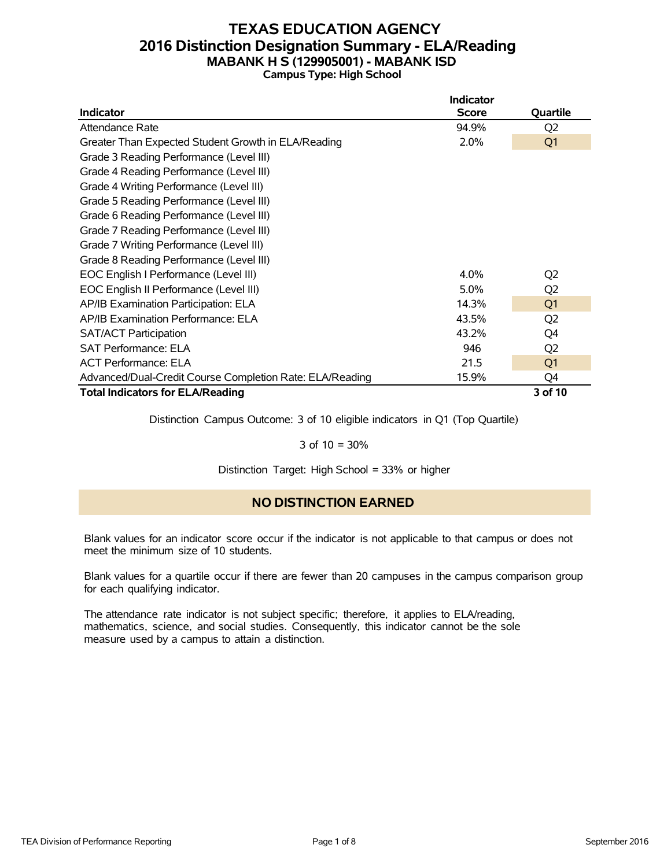### **TEXAS EDUCATION AGENCY 2016 Distinction Designation Summary - ELA/Reading MABANK H S (129905001) - MABANK ISD Campus Type: High School**

|                                                          | <b>Indicator</b> |                |
|----------------------------------------------------------|------------------|----------------|
| <b>Indicator</b>                                         | <b>Score</b>     | Quartile       |
| Attendance Rate                                          | 94.9%            | Q <sub>2</sub> |
| Greater Than Expected Student Growth in ELA/Reading      | 2.0%             | Q <sub>1</sub> |
| Grade 3 Reading Performance (Level III)                  |                  |                |
| Grade 4 Reading Performance (Level III)                  |                  |                |
| Grade 4 Writing Performance (Level III)                  |                  |                |
| Grade 5 Reading Performance (Level III)                  |                  |                |
| Grade 6 Reading Performance (Level III)                  |                  |                |
| Grade 7 Reading Performance (Level III)                  |                  |                |
| Grade 7 Writing Performance (Level III)                  |                  |                |
| Grade 8 Reading Performance (Level III)                  |                  |                |
| EOC English I Performance (Level III)                    | $4.0\%$          | Q <sub>2</sub> |
| EOC English II Performance (Level III)                   | 5.0%             | Q <sub>2</sub> |
| AP/IB Examination Participation: ELA                     | 14.3%            | Q <sub>1</sub> |
| AP/IB Examination Performance: ELA                       | 43.5%            | Q <sub>2</sub> |
| <b>SAT/ACT Participation</b>                             | 43.2%            | Q4             |
| <b>SAT Performance: ELA</b>                              | 946              | Q <sub>2</sub> |
| <b>ACT Performance: ELA</b>                              | 21.5             | Q <sub>1</sub> |
| Advanced/Dual-Credit Course Completion Rate: ELA/Reading | 15.9%            | Q4             |
| <b>Total Indicators for ELA/Reading</b>                  |                  | 3 of 10        |

Distinction Campus Outcome: 3 of 10 eligible indicators in Q1 (Top Quartile)

### 3 of 10 = 30%

Distinction Target: High School = 33% or higher

### **NO DISTINCTION EARNED**

Blank values for an indicator score occur if the indicator is not applicable to that campus or does not meet the minimum size of 10 students.

Blank values for a quartile occur if there are fewer than 20 campuses in the campus comparison group for each qualifying indicator.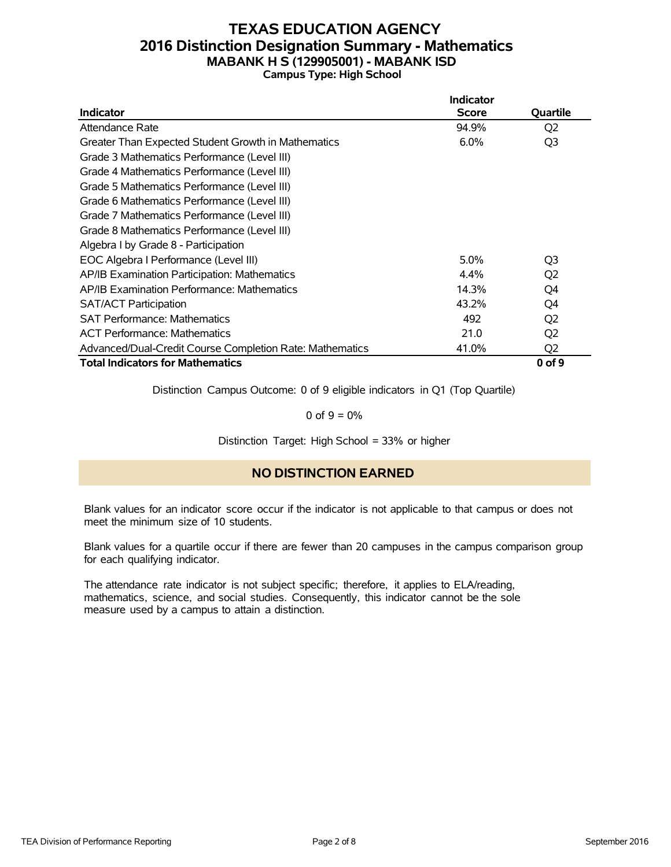### **TEXAS EDUCATION AGENCY 2016 Distinction Designation Summary - Mathematics MABANK H S (129905001) - MABANK ISD Campus Type: High School**

|                                                          | <b>Indicator</b> |                |
|----------------------------------------------------------|------------------|----------------|
| <b>Indicator</b>                                         | <b>Score</b>     | Quartile       |
| Attendance Rate                                          | 94.9%            | Q <sub>2</sub> |
| Greater Than Expected Student Growth in Mathematics      | 6.0%             | Q <sub>3</sub> |
| Grade 3 Mathematics Performance (Level III)              |                  |                |
| Grade 4 Mathematics Performance (Level III)              |                  |                |
| Grade 5 Mathematics Performance (Level III)              |                  |                |
| Grade 6 Mathematics Performance (Level III)              |                  |                |
| Grade 7 Mathematics Performance (Level III)              |                  |                |
| Grade 8 Mathematics Performance (Level III)              |                  |                |
| Algebra I by Grade 8 - Participation                     |                  |                |
| EOC Algebra I Performance (Level III)                    | 5.0%             | Q <sub>3</sub> |
| AP/IB Examination Participation: Mathematics             | 4.4%             | Q <sub>2</sub> |
| AP/IB Examination Performance: Mathematics               | 14.3%            | Q4             |
| <b>SAT/ACT Participation</b>                             | 43.2%            | Q4             |
| <b>SAT Performance: Mathematics</b>                      | 492              | Q <sub>2</sub> |
| <b>ACT Performance: Mathematics</b>                      | 21.0             | Q <sub>2</sub> |
| Advanced/Dual-Credit Course Completion Rate: Mathematics | 41.0%            | Q <sub>2</sub> |
| <b>Total Indicators for Mathematics</b>                  |                  | 0 of 9         |

Distinction Campus Outcome: 0 of 9 eligible indicators in Q1 (Top Quartile)

0 of  $9 = 0\%$ 

Distinction Target: High School = 33% or higher

### **NO DISTINCTION EARNED**

Blank values for an indicator score occur if the indicator is not applicable to that campus or does not meet the minimum size of 10 students.

Blank values for a quartile occur if there are fewer than 20 campuses in the campus comparison group for each qualifying indicator.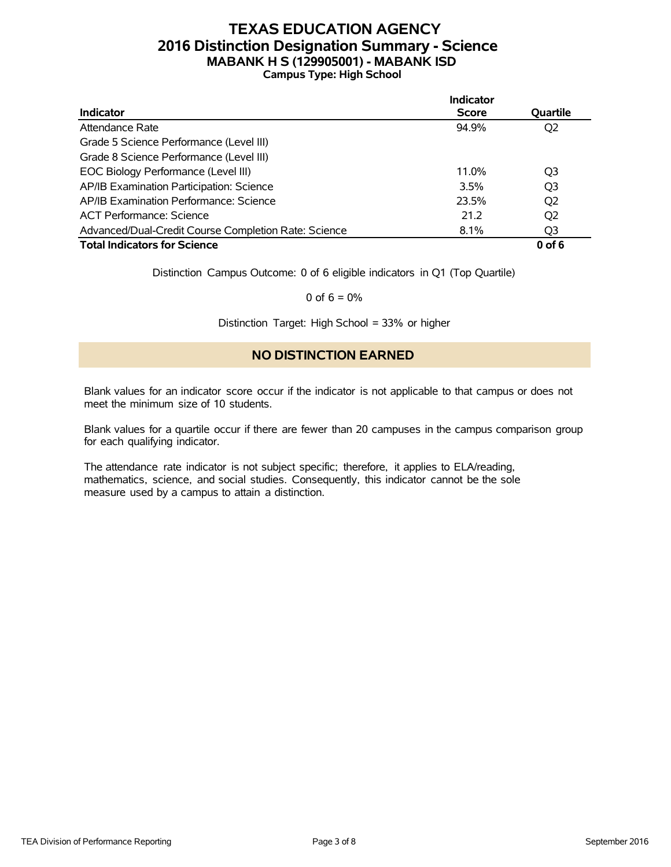### **TEXAS EDUCATION AGENCY 2016 Distinction Designation Summary - Science MABANK H S (129905001) - MABANK ISD Campus Type: High School**

|                                                      | <b>Indicator</b> |                |
|------------------------------------------------------|------------------|----------------|
| <b>Indicator</b>                                     | <b>Score</b>     | Quartile       |
| Attendance Rate                                      | 94.9%            | Q2             |
| Grade 5 Science Performance (Level III)              |                  |                |
| Grade 8 Science Performance (Level III)              |                  |                |
| EOC Biology Performance (Level III)                  | 11.0%            | Q3             |
| AP/IB Examination Participation: Science             | 3.5%             | Q <sub>3</sub> |
| AP/IB Examination Performance: Science               | 23.5%            | Q2             |
| <b>ACT Performance: Science</b>                      | 21.2             | Q <sub>2</sub> |
| Advanced/Dual-Credit Course Completion Rate: Science | 8.1%             | Q3             |
| <b>Total Indicators for Science</b>                  |                  | $0$ of 6       |

Distinction Campus Outcome: 0 of 6 eligible indicators in Q1 (Top Quartile)

0 of  $6 = 0\%$ 

Distinction Target: High School = 33% or higher

### **NO DISTINCTION EARNED**

Blank values for an indicator score occur if the indicator is not applicable to that campus or does not meet the minimum size of 10 students.

Blank values for a quartile occur if there are fewer than 20 campuses in the campus comparison group for each qualifying indicator.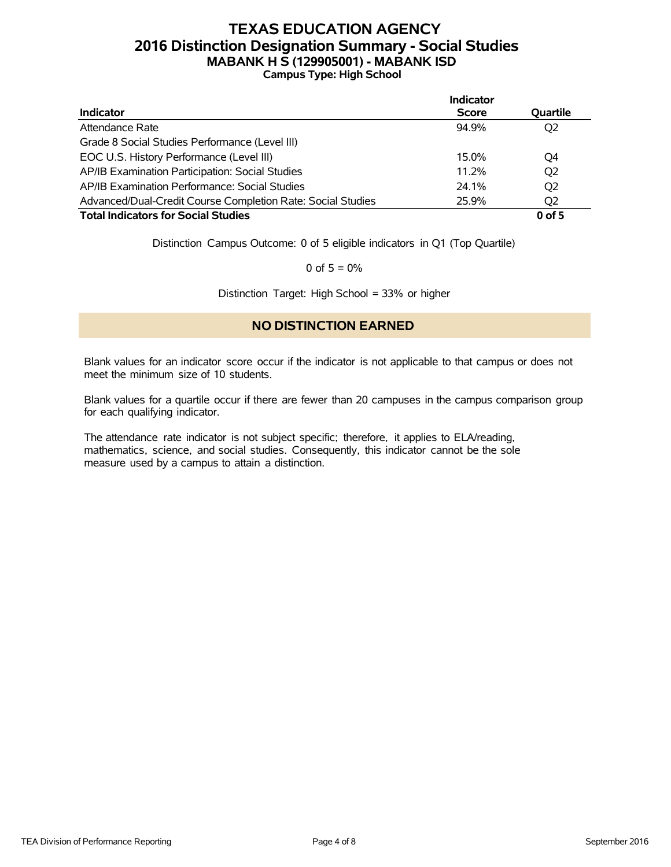### **TEXAS EDUCATION AGENCY 2016 Distinction Designation Summary - Social Studies MABANK H S (129905001) - MABANK ISD Campus Type: High School**

|                                                             | Indicator    |                |
|-------------------------------------------------------------|--------------|----------------|
| <b>Indicator</b>                                            | <b>Score</b> | Quartile       |
| Attendance Rate                                             | 94.9%        | Q <sub>2</sub> |
| Grade 8 Social Studies Performance (Level III)              |              |                |
| EOC U.S. History Performance (Level III)                    | 15.0%        | O4             |
| AP/IB Examination Participation: Social Studies             | 11.2%        | Q <sub>2</sub> |
| AP/IB Examination Performance: Social Studies               | 24.1%        | Q <sub>2</sub> |
| Advanced/Dual-Credit Course Completion Rate: Social Studies | 25.9%        | Q <sub>2</sub> |
| <b>Total Indicators for Social Studies</b>                  |              | $0$ of 5       |

Distinction Campus Outcome: 0 of 5 eligible indicators in Q1 (Top Quartile)

0 of  $5 = 0%$ 

Distinction Target: High School = 33% or higher

### **NO DISTINCTION EARNED**

Blank values for an indicator score occur if the indicator is not applicable to that campus or does not meet the minimum size of 10 students.

Blank values for a quartile occur if there are fewer than 20 campuses in the campus comparison group for each qualifying indicator.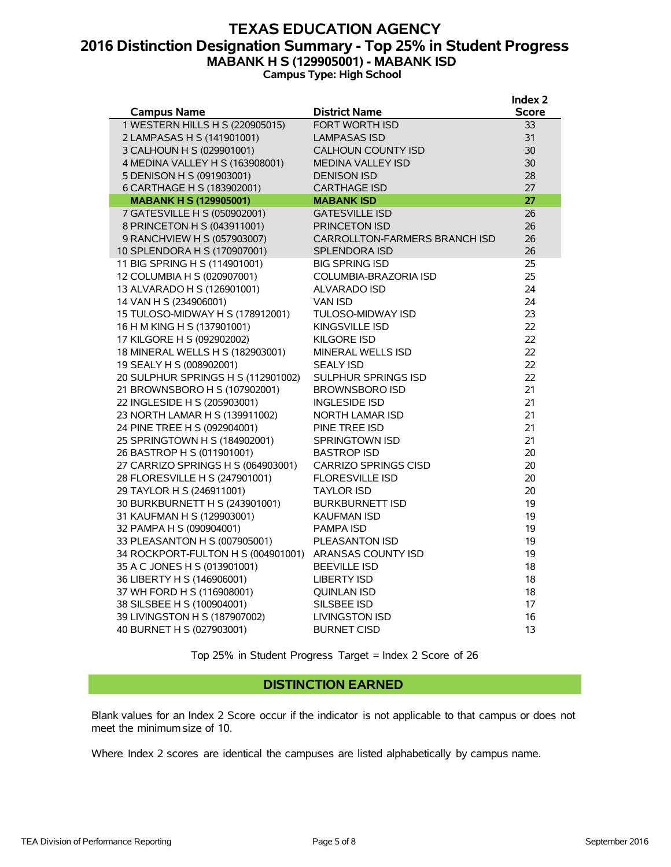### **TEXAS EDUCATION AGENCY 2016 Distinction Designation Summary - Top 25% in Student Progress MABANK H S (129905001) - MABANK ISD Campus Type: High School**

| <b>Campus Name</b><br><b>District Name</b><br><b>Score</b><br>1 WESTERN HILLS H S (220905015)<br><b>FORT WORTH ISD</b><br>33<br>2 LAMPASAS H S (141901001)<br>31<br><b>LAMPASAS ISD</b><br>3 CALHOUN H S (029901001)<br>30<br><b>CALHOUN COUNTY ISD</b><br>4 MEDINA VALLEY H S (163908001)<br>30<br><b>MEDINA VALLEY ISD</b><br>5 DENISON H S (091903001)<br>28<br><b>DENISON ISD</b><br>27<br>6 CARTHAGE H S (183902001)<br><b>CARTHAGE ISD</b><br>27<br><b>MABANK H S (129905001)</b><br><b>MABANK ISD</b><br>7 GATESVILLE H S (050902001)<br><b>GATESVILLE ISD</b><br>26<br>8 PRINCETON H S (043911001)<br>26<br>PRINCETON ISD<br>9 RANCHVIEW H S (057903007)<br>26<br><b>CARROLLTON-FARMERS BRANCH ISD</b><br>10 SPLENDORA H S (170907001)<br>26<br><b>SPLENDORA ISD</b><br>11 BIG SPRING H S (114901001)<br>25<br><b>BIG SPRING ISD</b><br>12 COLUMBIA H S (020907001)<br>25<br>COLUMBIA-BRAZORIA ISD<br>24<br>13 ALVARADO H S (126901001)<br><b>ALVARADO ISD</b><br>14 VAN H S (234906001)<br>24<br><b>VAN ISD</b><br>15 TULOSO-MIDWAY H S (178912001)<br>23<br>TULOSO-MIDWAY ISD<br>22<br>16 H M KING H S (137901001)<br>KINGSVILLE ISD<br>22<br>17 KILGORE H S (092902002)<br><b>KILGORE ISD</b><br>22<br>18 MINERAL WELLS H S (182903001)<br><b>MINERAL WELLS ISD</b><br>22<br>19 SEALY H S (008902001)<br><b>SEALY ISD</b> |
|--------------------------------------------------------------------------------------------------------------------------------------------------------------------------------------------------------------------------------------------------------------------------------------------------------------------------------------------------------------------------------------------------------------------------------------------------------------------------------------------------------------------------------------------------------------------------------------------------------------------------------------------------------------------------------------------------------------------------------------------------------------------------------------------------------------------------------------------------------------------------------------------------------------------------------------------------------------------------------------------------------------------------------------------------------------------------------------------------------------------------------------------------------------------------------------------------------------------------------------------------------------------------------------------------------------------------------------|
|                                                                                                                                                                                                                                                                                                                                                                                                                                                                                                                                                                                                                                                                                                                                                                                                                                                                                                                                                                                                                                                                                                                                                                                                                                                                                                                                      |
|                                                                                                                                                                                                                                                                                                                                                                                                                                                                                                                                                                                                                                                                                                                                                                                                                                                                                                                                                                                                                                                                                                                                                                                                                                                                                                                                      |
|                                                                                                                                                                                                                                                                                                                                                                                                                                                                                                                                                                                                                                                                                                                                                                                                                                                                                                                                                                                                                                                                                                                                                                                                                                                                                                                                      |
|                                                                                                                                                                                                                                                                                                                                                                                                                                                                                                                                                                                                                                                                                                                                                                                                                                                                                                                                                                                                                                                                                                                                                                                                                                                                                                                                      |
|                                                                                                                                                                                                                                                                                                                                                                                                                                                                                                                                                                                                                                                                                                                                                                                                                                                                                                                                                                                                                                                                                                                                                                                                                                                                                                                                      |
|                                                                                                                                                                                                                                                                                                                                                                                                                                                                                                                                                                                                                                                                                                                                                                                                                                                                                                                                                                                                                                                                                                                                                                                                                                                                                                                                      |
|                                                                                                                                                                                                                                                                                                                                                                                                                                                                                                                                                                                                                                                                                                                                                                                                                                                                                                                                                                                                                                                                                                                                                                                                                                                                                                                                      |
|                                                                                                                                                                                                                                                                                                                                                                                                                                                                                                                                                                                                                                                                                                                                                                                                                                                                                                                                                                                                                                                                                                                                                                                                                                                                                                                                      |
|                                                                                                                                                                                                                                                                                                                                                                                                                                                                                                                                                                                                                                                                                                                                                                                                                                                                                                                                                                                                                                                                                                                                                                                                                                                                                                                                      |
|                                                                                                                                                                                                                                                                                                                                                                                                                                                                                                                                                                                                                                                                                                                                                                                                                                                                                                                                                                                                                                                                                                                                                                                                                                                                                                                                      |
|                                                                                                                                                                                                                                                                                                                                                                                                                                                                                                                                                                                                                                                                                                                                                                                                                                                                                                                                                                                                                                                                                                                                                                                                                                                                                                                                      |
|                                                                                                                                                                                                                                                                                                                                                                                                                                                                                                                                                                                                                                                                                                                                                                                                                                                                                                                                                                                                                                                                                                                                                                                                                                                                                                                                      |
|                                                                                                                                                                                                                                                                                                                                                                                                                                                                                                                                                                                                                                                                                                                                                                                                                                                                                                                                                                                                                                                                                                                                                                                                                                                                                                                                      |
|                                                                                                                                                                                                                                                                                                                                                                                                                                                                                                                                                                                                                                                                                                                                                                                                                                                                                                                                                                                                                                                                                                                                                                                                                                                                                                                                      |
|                                                                                                                                                                                                                                                                                                                                                                                                                                                                                                                                                                                                                                                                                                                                                                                                                                                                                                                                                                                                                                                                                                                                                                                                                                                                                                                                      |
|                                                                                                                                                                                                                                                                                                                                                                                                                                                                                                                                                                                                                                                                                                                                                                                                                                                                                                                                                                                                                                                                                                                                                                                                                                                                                                                                      |
|                                                                                                                                                                                                                                                                                                                                                                                                                                                                                                                                                                                                                                                                                                                                                                                                                                                                                                                                                                                                                                                                                                                                                                                                                                                                                                                                      |
|                                                                                                                                                                                                                                                                                                                                                                                                                                                                                                                                                                                                                                                                                                                                                                                                                                                                                                                                                                                                                                                                                                                                                                                                                                                                                                                                      |
|                                                                                                                                                                                                                                                                                                                                                                                                                                                                                                                                                                                                                                                                                                                                                                                                                                                                                                                                                                                                                                                                                                                                                                                                                                                                                                                                      |
|                                                                                                                                                                                                                                                                                                                                                                                                                                                                                                                                                                                                                                                                                                                                                                                                                                                                                                                                                                                                                                                                                                                                                                                                                                                                                                                                      |
|                                                                                                                                                                                                                                                                                                                                                                                                                                                                                                                                                                                                                                                                                                                                                                                                                                                                                                                                                                                                                                                                                                                                                                                                                                                                                                                                      |
| 22<br>20 SULPHUR SPRINGS H S (112901002)<br>SULPHUR SPRINGS ISD                                                                                                                                                                                                                                                                                                                                                                                                                                                                                                                                                                                                                                                                                                                                                                                                                                                                                                                                                                                                                                                                                                                                                                                                                                                                      |
| 21<br>21 BROWNSBORO H S (107902001)<br><b>BROWNSBORO ISD</b>                                                                                                                                                                                                                                                                                                                                                                                                                                                                                                                                                                                                                                                                                                                                                                                                                                                                                                                                                                                                                                                                                                                                                                                                                                                                         |
| 21<br>22 INGLESIDE H S (205903001)<br><b>INGLESIDE ISD</b>                                                                                                                                                                                                                                                                                                                                                                                                                                                                                                                                                                                                                                                                                                                                                                                                                                                                                                                                                                                                                                                                                                                                                                                                                                                                           |
| 21<br>23 NORTH LAMAR H S (139911002)<br><b>NORTH LAMAR ISD</b>                                                                                                                                                                                                                                                                                                                                                                                                                                                                                                                                                                                                                                                                                                                                                                                                                                                                                                                                                                                                                                                                                                                                                                                                                                                                       |
| 21<br>24 PINE TREE H S (092904001)<br>PINE TREE ISD                                                                                                                                                                                                                                                                                                                                                                                                                                                                                                                                                                                                                                                                                                                                                                                                                                                                                                                                                                                                                                                                                                                                                                                                                                                                                  |
| 21<br>25 SPRINGTOWN H S (184902001)<br><b>SPRINGTOWN ISD</b>                                                                                                                                                                                                                                                                                                                                                                                                                                                                                                                                                                                                                                                                                                                                                                                                                                                                                                                                                                                                                                                                                                                                                                                                                                                                         |
| 26 BASTROP H S (011901001)<br>20<br><b>BASTROP ISD</b>                                                                                                                                                                                                                                                                                                                                                                                                                                                                                                                                                                                                                                                                                                                                                                                                                                                                                                                                                                                                                                                                                                                                                                                                                                                                               |
| 27 CARRIZO SPRINGS H S (064903001)<br><b>CARRIZO SPRINGS CISD</b><br>20                                                                                                                                                                                                                                                                                                                                                                                                                                                                                                                                                                                                                                                                                                                                                                                                                                                                                                                                                                                                                                                                                                                                                                                                                                                              |
| 20<br>28 FLORESVILLE H S (247901001)<br><b>FLORESVILLE ISD</b>                                                                                                                                                                                                                                                                                                                                                                                                                                                                                                                                                                                                                                                                                                                                                                                                                                                                                                                                                                                                                                                                                                                                                                                                                                                                       |
| 29 TAYLOR H S (246911001)<br>20<br><b>TAYLOR ISD</b>                                                                                                                                                                                                                                                                                                                                                                                                                                                                                                                                                                                                                                                                                                                                                                                                                                                                                                                                                                                                                                                                                                                                                                                                                                                                                 |
| 30 BURKBURNETT H S (243901001)<br><b>BURKBURNETT ISD</b><br>19                                                                                                                                                                                                                                                                                                                                                                                                                                                                                                                                                                                                                                                                                                                                                                                                                                                                                                                                                                                                                                                                                                                                                                                                                                                                       |
| 31 KAUFMAN H S (129903001)<br>19<br><b>KAUFMAN ISD</b>                                                                                                                                                                                                                                                                                                                                                                                                                                                                                                                                                                                                                                                                                                                                                                                                                                                                                                                                                                                                                                                                                                                                                                                                                                                                               |
| 32 PAMPA H S (090904001)<br>19<br><b>PAMPA ISD</b>                                                                                                                                                                                                                                                                                                                                                                                                                                                                                                                                                                                                                                                                                                                                                                                                                                                                                                                                                                                                                                                                                                                                                                                                                                                                                   |
| 19<br>33 PLEASANTON H S (007905001)<br>PLEASANTON ISD                                                                                                                                                                                                                                                                                                                                                                                                                                                                                                                                                                                                                                                                                                                                                                                                                                                                                                                                                                                                                                                                                                                                                                                                                                                                                |
| 19<br>34 ROCKPORT-FULTON H S (004901001)<br>ARANSAS COUNTY ISD                                                                                                                                                                                                                                                                                                                                                                                                                                                                                                                                                                                                                                                                                                                                                                                                                                                                                                                                                                                                                                                                                                                                                                                                                                                                       |
| 18<br>35 A C JONES H S (013901001)<br><b>BEEVILLE ISD</b>                                                                                                                                                                                                                                                                                                                                                                                                                                                                                                                                                                                                                                                                                                                                                                                                                                                                                                                                                                                                                                                                                                                                                                                                                                                                            |
| 18<br>36 LIBERTY H S (146906001)<br><b>LIBERTY ISD</b>                                                                                                                                                                                                                                                                                                                                                                                                                                                                                                                                                                                                                                                                                                                                                                                                                                                                                                                                                                                                                                                                                                                                                                                                                                                                               |
| 37 WH FORD H S (116908001)<br>18<br><b>OUINLAN ISD</b>                                                                                                                                                                                                                                                                                                                                                                                                                                                                                                                                                                                                                                                                                                                                                                                                                                                                                                                                                                                                                                                                                                                                                                                                                                                                               |
| 38 SILSBEE H S (100904001)<br>17<br>SILSBEE ISD                                                                                                                                                                                                                                                                                                                                                                                                                                                                                                                                                                                                                                                                                                                                                                                                                                                                                                                                                                                                                                                                                                                                                                                                                                                                                      |
| 39 LIVINGSTON H S (187907002)<br>16<br><b>LIVINGSTON ISD</b>                                                                                                                                                                                                                                                                                                                                                                                                                                                                                                                                                                                                                                                                                                                                                                                                                                                                                                                                                                                                                                                                                                                                                                                                                                                                         |
| 13<br>40 BURNET H S (027903001)<br><b>BURNET CISD</b>                                                                                                                                                                                                                                                                                                                                                                                                                                                                                                                                                                                                                                                                                                                                                                                                                                                                                                                                                                                                                                                                                                                                                                                                                                                                                |

Top 25% in Student Progress Target = Index 2 Score of 26

### **DISTINCTION EARNED**

Blank values for an Index 2 Score occur if the indicator is not applicable to that campus or does not meet the minimum size of 10.

Where Index 2 scores are identical the campuses are listed alphabetically by campus name.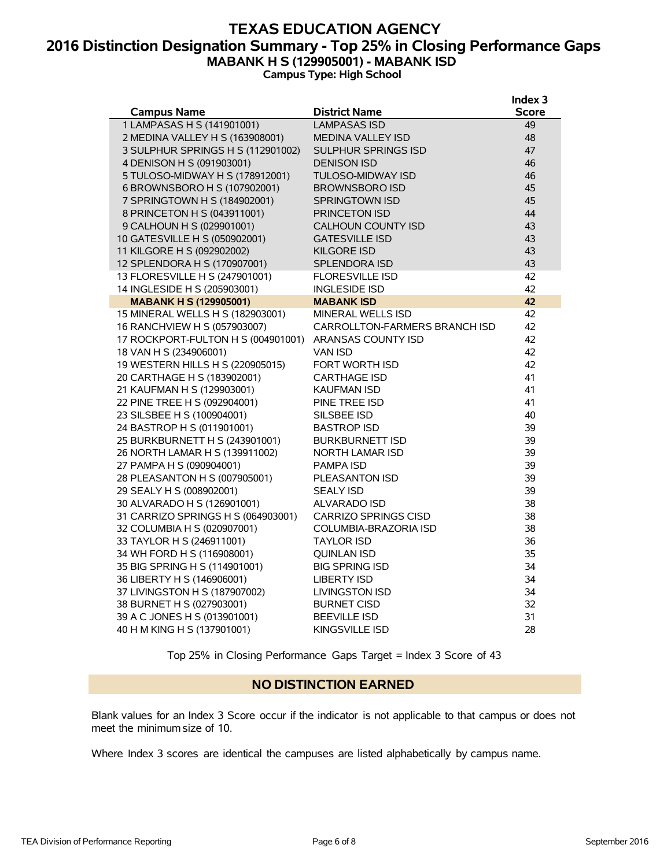### **TEXAS EDUCATION AGENCY 2016 Distinction Designation Summary - Top 25% in Closing Performance Gaps MABANK H S (129905001) - MABANK ISD Campus Type: High School**

|                                    |                               | Index <sub>3</sub> |
|------------------------------------|-------------------------------|--------------------|
| <b>Campus Name</b>                 | <b>District Name</b>          | <b>Score</b>       |
| 1 LAMPASAS H S (141901001)         | LAMPASAS ISD                  | 49                 |
| 2 MEDINA VALLEY H S (163908001)    | <b>MEDINA VALLEY ISD</b>      | 48                 |
| 3 SULPHUR SPRINGS H S (112901002)  | <b>SULPHUR SPRINGS ISD</b>    | 47                 |
| 4 DENISON H S (091903001)          | <b>DENISON ISD</b>            | 46                 |
| 5 TULOSO-MIDWAY H S (178912001)    | <b>TULOSO-MIDWAY ISD</b>      | 46                 |
| 6 BROWNSBORO H S (107902001)       | <b>BROWNSBORO ISD</b>         | 45                 |
| 7 SPRINGTOWN H S (184902001)       | SPRINGTOWN ISD                | 45                 |
| 8 PRINCETON H S (043911001)        | <b>PRINCETON ISD</b>          | 44                 |
| 9 CALHOUN H S (029901001)          | <b>CALHOUN COUNTY ISD</b>     | 43                 |
| 10 GATESVILLE H S (050902001)      | <b>GATESVILLE ISD</b>         | 43                 |
| 11 KILGORE H S (092902002)         | <b>KILGORE ISD</b>            | 43                 |
| 12 SPLENDORA H S (170907001)       | <b>SPLENDORA ISD</b>          | 43                 |
| 13 FLORESVILLE H S (247901001)     | <b>FLORESVILLE ISD</b>        | 42                 |
| 14 INGLESIDE H S (205903001)       | <b>INGLESIDE ISD</b>          | 42                 |
| <b>MABANK H S (129905001)</b>      | <b>MABANK ISD</b>             | 42                 |
| 15 MINERAL WELLS H S (182903001)   | <b>MINERAL WELLS ISD</b>      | 42                 |
| 16 RANCHVIEW H S (057903007)       | CARROLLTON-FARMERS BRANCH ISD | 42                 |
| 17 ROCKPORT-FULTON H S (004901001) | ARANSAS COUNTY ISD            | 42                 |
| 18 VAN H S (234906001)             | VAN ISD                       | 42                 |
| 19 WESTERN HILLS H S (220905015)   | FORT WORTH ISD                | 42                 |
| 20 CARTHAGE H S (183902001)        | <b>CARTHAGE ISD</b>           | 41                 |
| 21 KAUFMAN H S (129903001)         | <b>KAUFMAN ISD</b>            | 41                 |
| 22 PINE TREE H S (092904001)       | PINE TREE ISD                 | 41                 |
| 23 SILSBEE H S (100904001)         | SILSBEE ISD                   | 40                 |
| 24 BASTROP H S (011901001)         | <b>BASTROP ISD</b>            | 39                 |
| 25 BURKBURNETT H S (243901001)     | <b>BURKBURNETT ISD</b>        | 39                 |
| 26 NORTH LAMAR H S (139911002)     | <b>NORTH LAMAR ISD</b>        | 39                 |
| 27 PAMPA H S (090904001)           | PAMPA ISD                     | 39                 |
| 28 PLEASANTON H S (007905001)      | PLEASANTON ISD                | 39                 |
| 29 SEALY H S (008902001)           | <b>SEALY ISD</b>              | 39                 |
| 30 ALVARADO H S (126901001)        | <b>ALVARADO ISD</b>           | 38                 |
| 31 CARRIZO SPRINGS H S (064903001) | CARRIZO SPRINGS CISD          | 38                 |
| 32 COLUMBIA H S (020907001)        | COLUMBIA-BRAZORIA ISD         | 38                 |
| 33 TAYLOR H S (246911001)          | <b>TAYLOR ISD</b>             | 36                 |
| 34 WH FORD H S (116908001)         | QUINLAN ISD                   | 35                 |
| 35 BIG SPRING H S (114901001)      | <b>BIG SPRING ISD</b>         | 34                 |
| 36 LIBERTY H S (146906001)         | <b>LIBERTY ISD</b>            | 34                 |
| 37 LIVINGSTON H S (187907002)      | <b>LIVINGSTON ISD</b>         | 34                 |
| 38 BURNET H S (027903001)          | <b>BURNET CISD</b>            | 32                 |
| 39 A C JONES H S (013901001)       | <b>BEEVILLE ISD</b>           | 31                 |
| 40 H M KING H S (137901001)        | KINGSVILLE ISD                | 28                 |

Top 25% in Closing Performance Gaps Target = Index 3 Score of 43

### **NO DISTINCTION EARNED**

Blank values for an Index 3 Score occur if the indicator is not applicable to that campus or does not meet the minimum size of 10.

Where Index 3 scores are identical the campuses are listed alphabetically by campus name.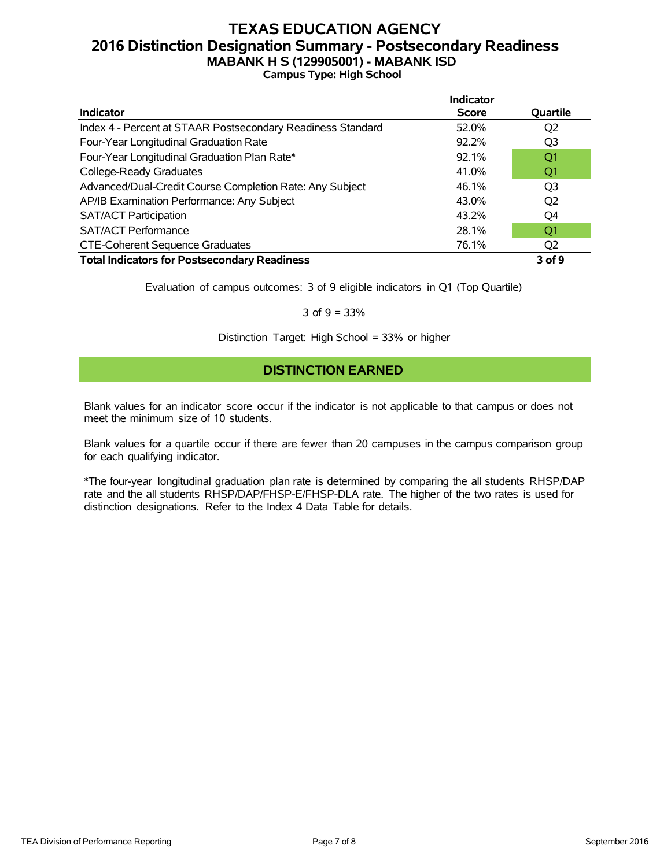### **TEXAS EDUCATION AGENCY 2016 Distinction Designation Summary - Postsecondary Readiness MABANK H S (129905001) - MABANK ISD Campus Type: High School**

|                                                             | <b>Indicator</b> |                 |
|-------------------------------------------------------------|------------------|-----------------|
| <b>Indicator</b>                                            | <b>Score</b>     | Quartile        |
| Index 4 - Percent at STAAR Postsecondary Readiness Standard | 52.0%            | Q2              |
| Four-Year Longitudinal Graduation Rate                      | 92.2%            | Q <sub>3</sub>  |
| Four-Year Longitudinal Graduation Plan Rate*                | 92.1%            | Q <sub>1</sub>  |
| College-Ready Graduates                                     | 41.0%            | Q <sub>1</sub>  |
| Advanced/Dual-Credit Course Completion Rate: Any Subject    | 46.1%            | Q <sub>3</sub>  |
| AP/IB Examination Performance: Any Subject                  | 43.0%            | Q <sub>2</sub>  |
| <b>SAT/ACT Participation</b>                                | 43.2%            | O4              |
| <b>SAT/ACT Performance</b>                                  | 28.1%            | O1              |
| <b>CTE-Coherent Sequence Graduates</b>                      | 76.1%            | Q <sub>2</sub>  |
| <b>Total Indicators for Postscoppdany Poodingss</b>         |                  | $20$ f $\Omega$ |

**Total Indicators for Postsecondary Readiness 3 of 9**

Evaluation of campus outcomes: 3 of 9 eligible indicators in Q1 (Top Quartile)

#### 3 of  $9 = 33%$

Distinction Target: High School = 33% or higher

### **DISTINCTION EARNED**

Blank values for an indicator score occur if the indicator is not applicable to that campus or does not meet the minimum size of 10 students.

Blank values for a quartile occur if there are fewer than 20 campuses in the campus comparison group for each qualifying indicator.

\*The four-year longitudinal graduation plan rate is determined by comparing the all students RHSP/DAP rate and the all students RHSP/DAP/FHSP-E/FHSP-DLA rate. The higher of the two rates is used for distinction designations. Refer to the Index 4 Data Table for details.